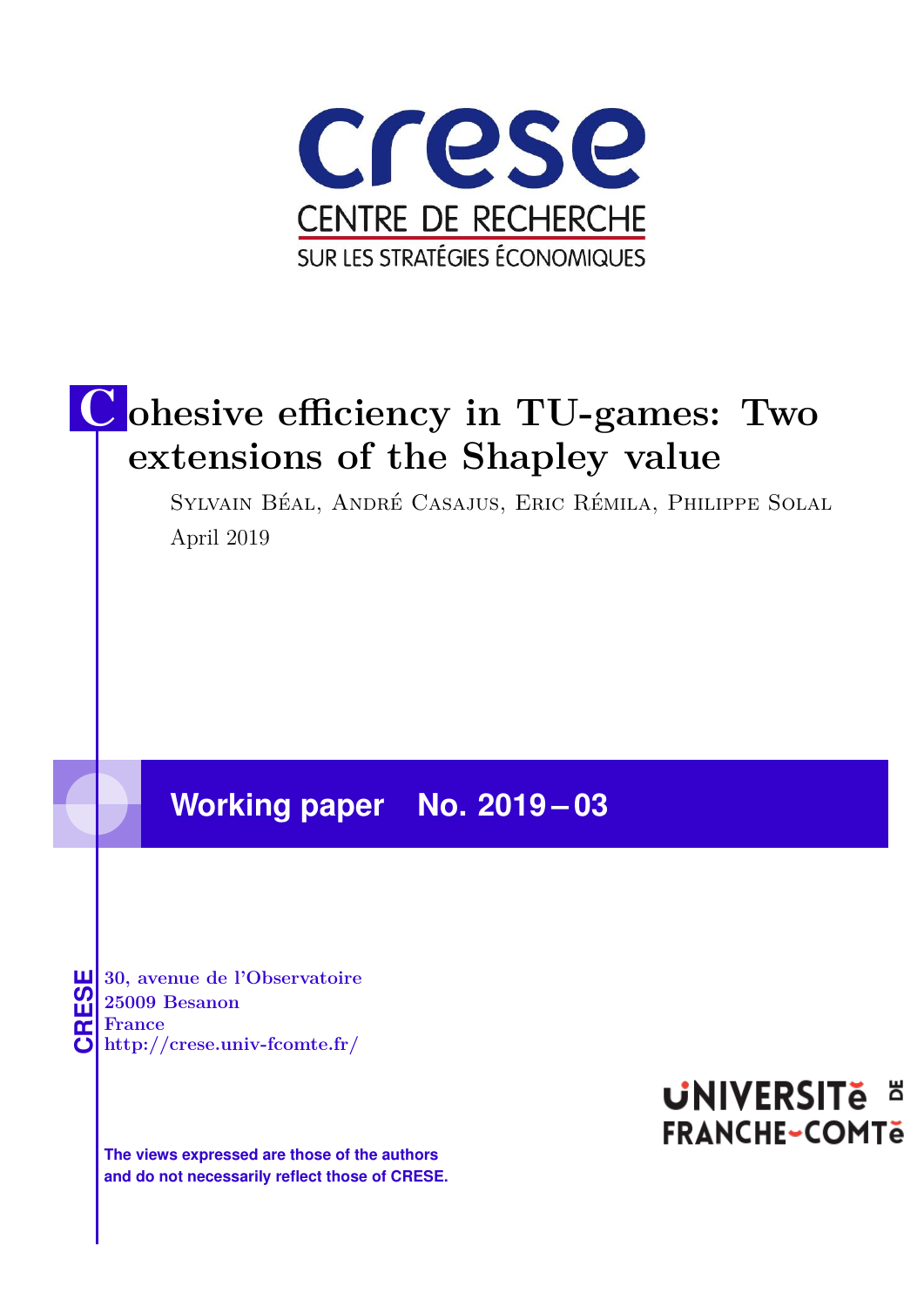

# C **ohesive efficiency in TU-games: Two extensions of the Shapley value**

Sylvain Béal, André Casajus, Eric Rémila, Philippe Solal April 2019

### **Working paper No. 2019 – 03**

**CRESE 30, avenue de l'Observatoire<br>
25009 Besanon<br>
<b>CRESE France**<br> **http://crese.univ-fcomte.fr/ 25009 Besanon France**

**The views expressed are those of the authors and do not necessarily reflect those of CRESE.**

## **UNIVERSITE E FRANCHE-COMTe**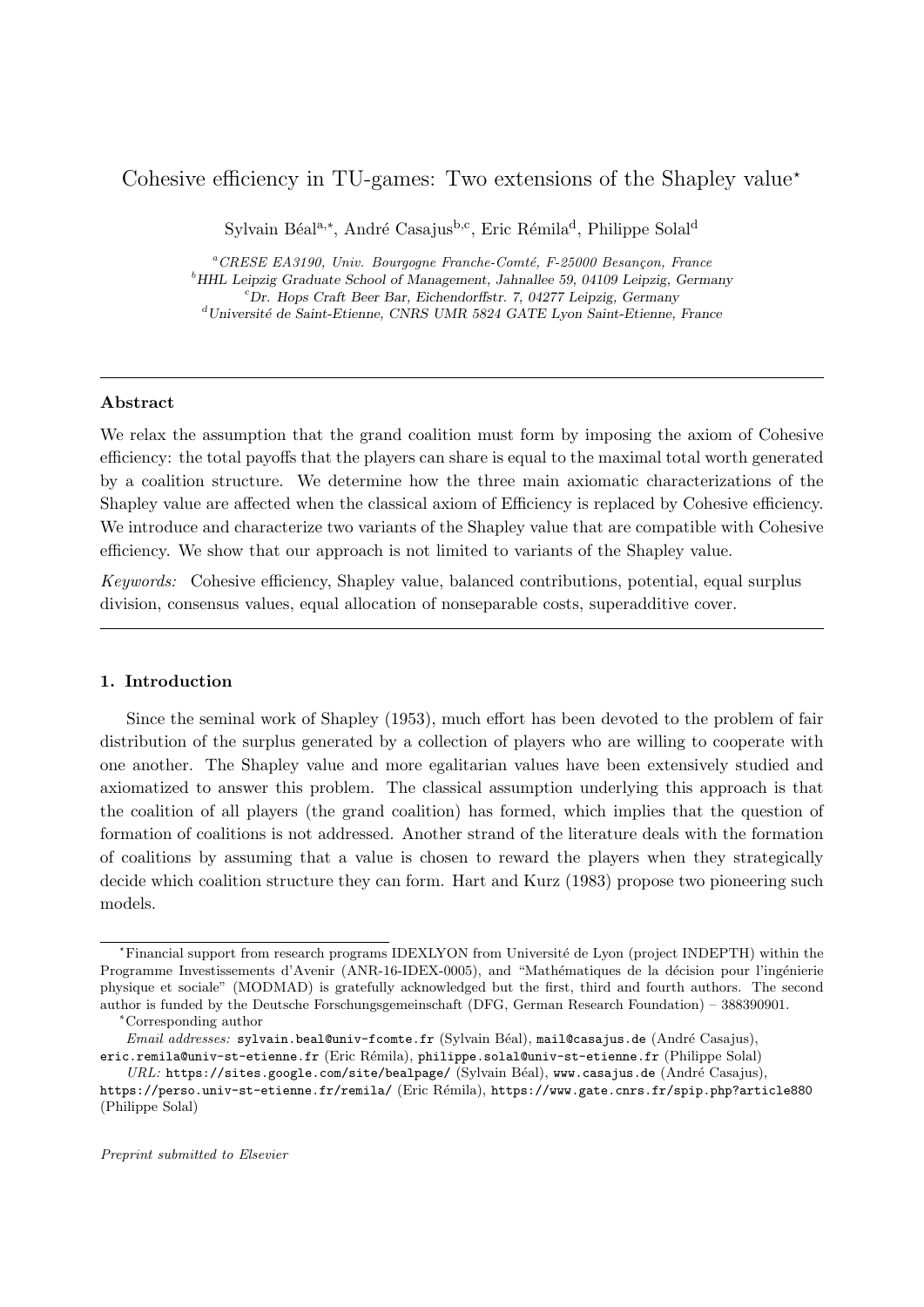### Cohesive efficiency in TU-games: Two extensions of the Shapley value<sup> $\star$ </sup>

Sylvain Béal<sup>a,∗</sup>, André Casajus<sup>b,c</sup>, Eric Rémila<sup>d</sup>, Philippe Solal<sup>d</sup>

 ${}^a$ CRESE EA3190, Univ. Bourgogne Franche-Comté, F-25000 Besançon, France  $<sup>b</sup> HHL$  Leipzig Graduate School of Management, Jahnallee 59, 04109 Leipzig, Germany</sup> <sup>c</sup>Dr. Hops Craft Beer Bar, Eichendorffstr. 7, 04277 Leipzig, Germany  $\rm^d$ Université de Saint-Etienne, CNRS UMR 5824 GATE Lyon Saint-Etienne, France

#### Abstract

We relax the assumption that the grand coalition must form by imposing the axiom of Cohesive efficiency: the total payoffs that the players can share is equal to the maximal total worth generated by a coalition structure. We determine how the three main axiomatic characterizations of the Shapley value are affected when the classical axiom of Efficiency is replaced by Cohesive efficiency. We introduce and characterize two variants of the Shapley value that are compatible with Cohesive efficiency. We show that our approach is not limited to variants of the Shapley value.

Keywords: Cohesive efficiency, Shapley value, balanced contributions, potential, equal surplus division, consensus values, equal allocation of nonseparable costs, superadditive cover.

#### 1. Introduction

Since the seminal work of Shapley (1953), much effort has been devoted to the problem of fair distribution of the surplus generated by a collection of players who are willing to cooperate with one another. The Shapley value and more egalitarian values have been extensively studied and axiomatized to answer this problem. The classical assumption underlying this approach is that the coalition of all players (the grand coalition) has formed, which implies that the question of formation of coalitions is not addressed. Another strand of the literature deals with the formation of coalitions by assuming that a value is chosen to reward the players when they strategically decide which coalition structure they can form. Hart and Kurz (1983) propose two pioneering such models.

<sup>\*</sup>Financial support from research programs IDEXLYON from Université de Lyon (project INDEPTH) within the Programme Investissements d'Avenir (ANR-16-IDEX-0005), and "Mathématiques de la décision pour l'ingénierie physique et sociale" (MODMAD) is gratefully acknowledged but the first, third and fourth authors. The second author is funded by the Deutsche Forschungsgemeinschaft (DFG, German Research Foundation) – 388390901.

<sup>∗</sup>Corresponding author

Email addresses: sylvain.beal@univ-fcomte.fr (Sylvain Béal), mail@casajus.de (André Casajus), eric.remila@univ-st-etienne.fr (Eric Rémila), philippe.solal@univ-st-etienne.fr (Philippe Solal)

URL: https://sites.google.com/site/bealpage/ (Sylvain Béal), www.casajus.de (André Casajus),

https://perso.univ-st-etienne.fr/remila/ (Eric Rémila), https://www.gate.cnrs.fr/spip.php?article880 (Philippe Solal)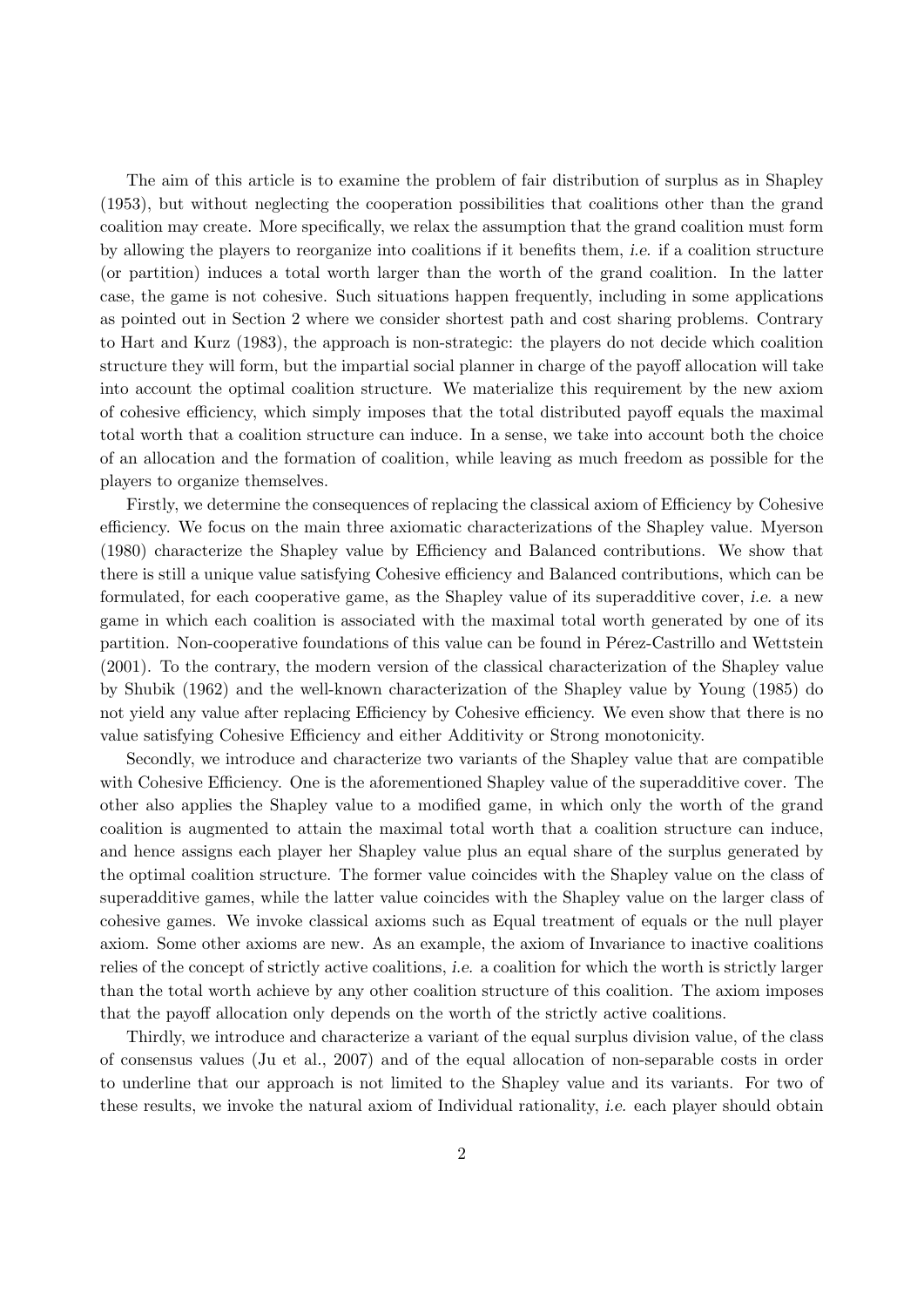The aim of this article is to examine the problem of fair distribution of surplus as in Shapley (1953), but without neglecting the cooperation possibilities that coalitions other than the grand coalition may create. More specifically, we relax the assumption that the grand coalition must form by allowing the players to reorganize into coalitions if it benefits them, i.e. if a coalition structure (or partition) induces a total worth larger than the worth of the grand coalition. In the latter case, the game is not cohesive. Such situations happen frequently, including in some applications as pointed out in Section 2 where we consider shortest path and cost sharing problems. Contrary to Hart and Kurz (1983), the approach is non-strategic: the players do not decide which coalition structure they will form, but the impartial social planner in charge of the payoff allocation will take into account the optimal coalition structure. We materialize this requirement by the new axiom of cohesive efficiency, which simply imposes that the total distributed payoff equals the maximal total worth that a coalition structure can induce. In a sense, we take into account both the choice of an allocation and the formation of coalition, while leaving as much freedom as possible for the players to organize themselves.

Firstly, we determine the consequences of replacing the classical axiom of Efficiency by Cohesive efficiency. We focus on the main three axiomatic characterizations of the Shapley value. Myerson (1980) characterize the Shapley value by Efficiency and Balanced contributions. We show that there is still a unique value satisfying Cohesive efficiency and Balanced contributions, which can be formulated, for each cooperative game, as the Shapley value of its superadditive cover, i.e. a new game in which each coalition is associated with the maximal total worth generated by one of its partition. Non-cooperative foundations of this value can be found in Pérez-Castrillo and Wettstein (2001). To the contrary, the modern version of the classical characterization of the Shapley value by Shubik (1962) and the well-known characterization of the Shapley value by Young (1985) do not yield any value after replacing Efficiency by Cohesive efficiency. We even show that there is no value satisfying Cohesive Efficiency and either Additivity or Strong monotonicity.

Secondly, we introduce and characterize two variants of the Shapley value that are compatible with Cohesive Efficiency. One is the aforementioned Shapley value of the superadditive cover. The other also applies the Shapley value to a modified game, in which only the worth of the grand coalition is augmented to attain the maximal total worth that a coalition structure can induce, and hence assigns each player her Shapley value plus an equal share of the surplus generated by the optimal coalition structure. The former value coincides with the Shapley value on the class of superadditive games, while the latter value coincides with the Shapley value on the larger class of cohesive games. We invoke classical axioms such as Equal treatment of equals or the null player axiom. Some other axioms are new. As an example, the axiom of Invariance to inactive coalitions relies of the concept of strictly active coalitions, i.e. a coalition for which the worth is strictly larger than the total worth achieve by any other coalition structure of this coalition. The axiom imposes that the payoff allocation only depends on the worth of the strictly active coalitions.

Thirdly, we introduce and characterize a variant of the equal surplus division value, of the class of consensus values (Ju et al., 2007) and of the equal allocation of non-separable costs in order to underline that our approach is not limited to the Shapley value and its variants. For two of these results, we invoke the natural axiom of Individual rationality, i.e. each player should obtain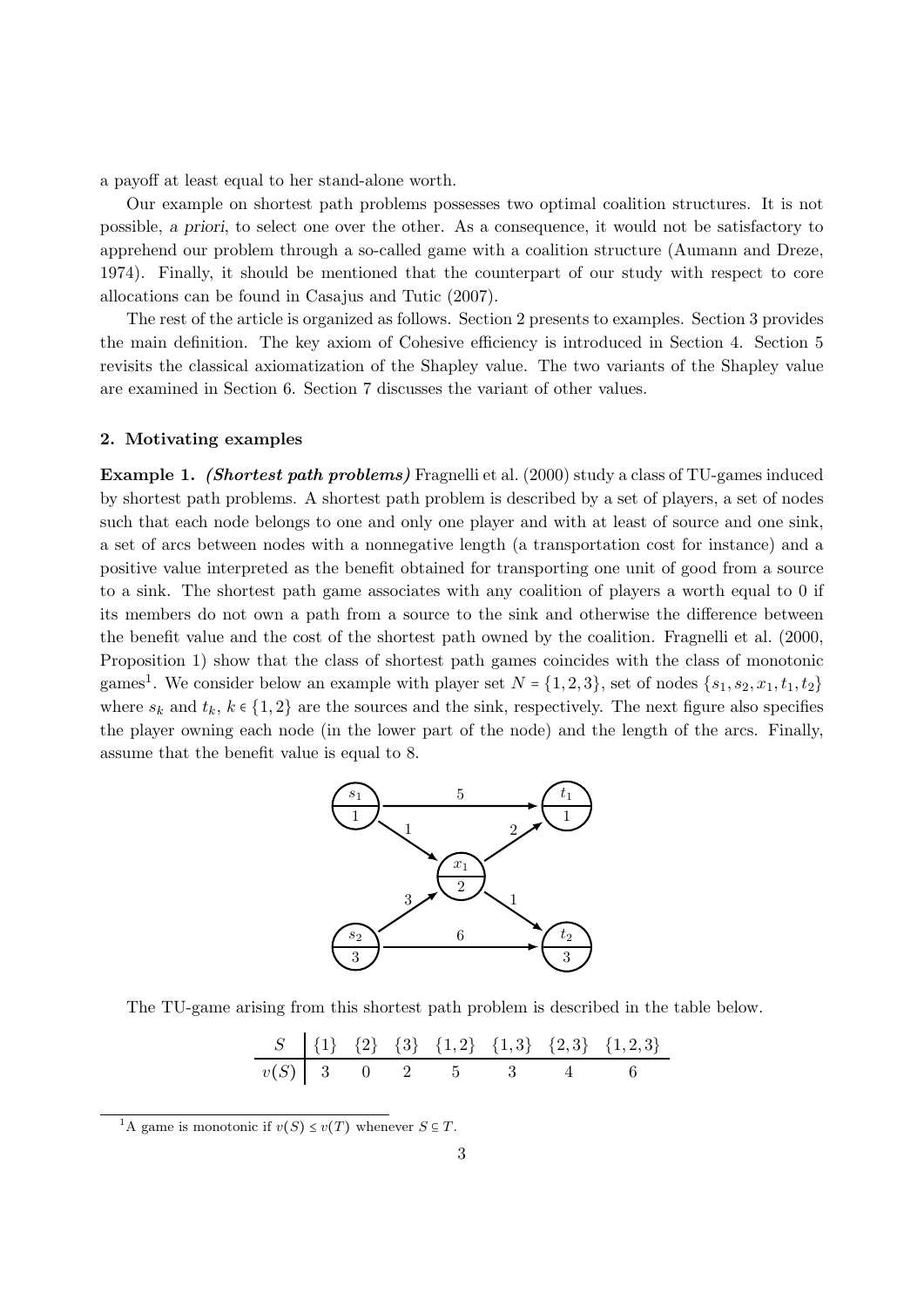a payoff at least equal to her stand-alone worth.

Our example on shortest path problems possesses two optimal coalition structures. It is not possible, a priori, to select one over the other. As a consequence, it would not be satisfactory to apprehend our problem through a so-called game with a coalition structure (Aumann and Dreze, 1974). Finally, it should be mentioned that the counterpart of our study with respect to core allocations can be found in Casajus and Tutic (2007).

The rest of the article is organized as follows. Section 2 presents to examples. Section 3 provides the main definition. The key axiom of Cohesive efficiency is introduced in Section 4. Section 5 revisits the classical axiomatization of the Shapley value. The two variants of the Shapley value are examined in Section 6. Section 7 discusses the variant of other values.

#### 2. Motivating examples

Example 1. (Shortest path problems) Fragnelli et al. (2000) study a class of TU-games induced by shortest path problems. A shortest path problem is described by a set of players, a set of nodes such that each node belongs to one and only one player and with at least of source and one sink, a set of arcs between nodes with a nonnegative length (a transportation cost for instance) and a positive value interpreted as the benefit obtained for transporting one unit of good from a source to a sink. The shortest path game associates with any coalition of players a worth equal to 0 if its members do not own a path from a source to the sink and otherwise the difference between the benefit value and the cost of the shortest path owned by the coalition. Fragnelli et al. (2000, Proposition 1) show that the class of shortest path games coincides with the class of monotonic games<sup>1</sup>. We consider below an example with player set  $N = \{1, 2, 3\}$ , set of nodes  $\{s_1, s_2, x_1, t_1, t_2\}$ where  $s_k$  and  $t_k$ ,  $k \in \{1,2\}$  are the sources and the sink, respectively. The next figure also specifies the player owning each node (in the lower part of the node) and the length of the arcs. Finally, assume that the benefit value is equal to 8.



The TU-game arising from this shortest path problem is described in the table below.

| $S$    | $\{1\}$ | $\{2\}$ | $\{3\}$ | $\{1,2\}$ | $\{1,3\}$ | $\{2,3\}$ | $\{1,2,3\}$ |
|--------|---------|---------|---------|-----------|-----------|-----------|-------------|
| $v(S)$ | 3       | 0       | 2       | 5         | 3         | 4         | 6           |

<sup>&</sup>lt;sup>1</sup>A game is monotonic if  $v(S) \le v(T)$  whenever  $S \subseteq T$ .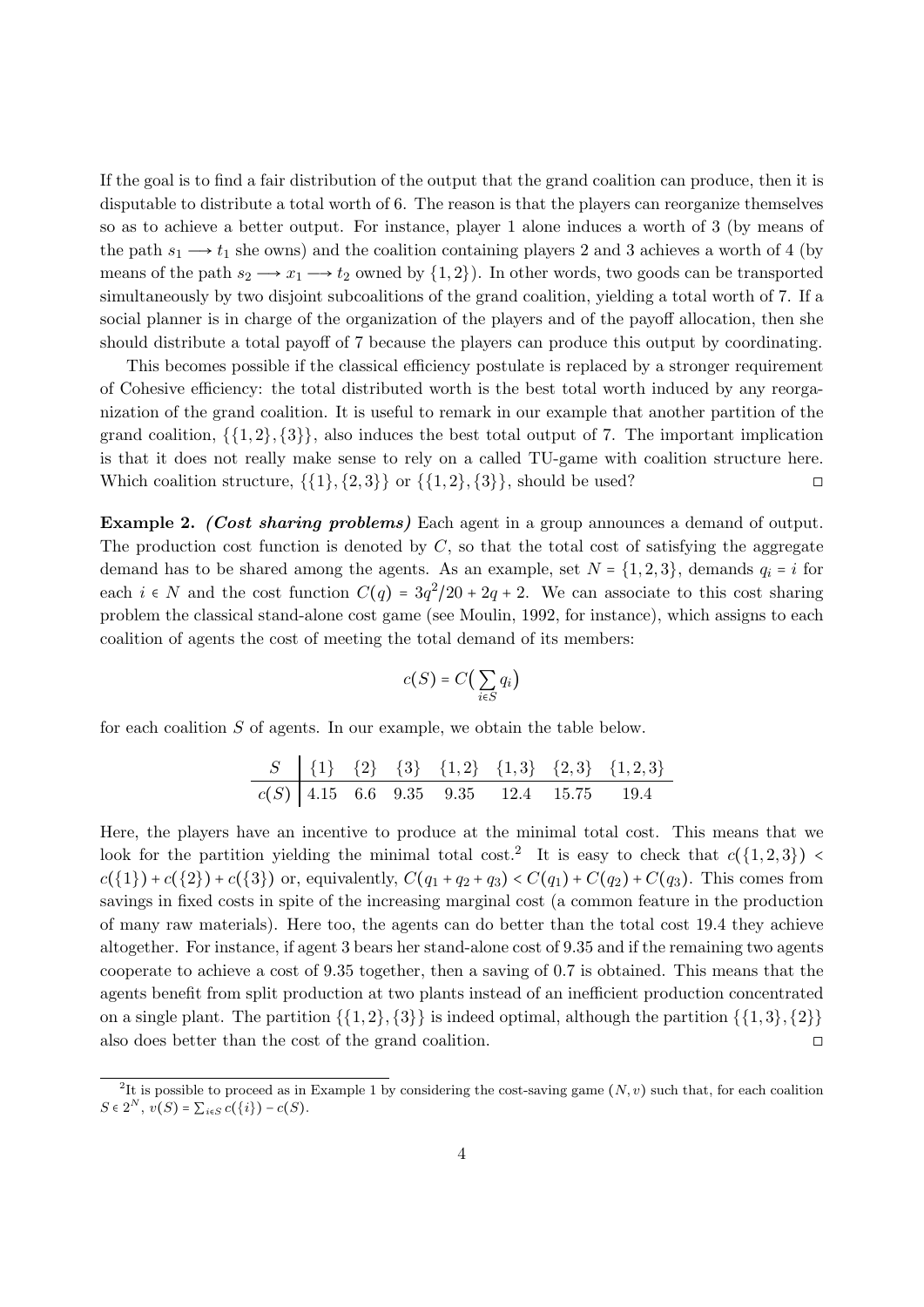If the goal is to find a fair distribution of the output that the grand coalition can produce, then it is disputable to distribute a total worth of 6. The reason is that the players can reorganize themselves so as to achieve a better output. For instance, player 1 alone induces a worth of 3 (by means of the path  $s_1 \longrightarrow t_1$  she owns) and the coalition containing players 2 and 3 achieves a worth of 4 (by means of the path  $s_2 \rightarrow x_1 \rightarrow t_2$  owned by  $\{1, 2\}$ . In other words, two goods can be transported simultaneously by two disjoint subcoalitions of the grand coalition, yielding a total worth of 7. If a social planner is in charge of the organization of the players and of the payoff allocation, then she should distribute a total payoff of 7 because the players can produce this output by coordinating.

This becomes possible if the classical efficiency postulate is replaced by a stronger requirement of Cohesive efficiency: the total distributed worth is the best total worth induced by any reorganization of the grand coalition. It is useful to remark in our example that another partition of the grand coalition,  $\{\{1, 2\}, \{3\}\}\$ , also induces the best total output of 7. The important implication is that it does not really make sense to rely on a called TU-game with coalition structure here. Which coalition structure,  $\{\{1\}, \{2, 3\}\}\$  or  $\{\{1, 2\}, \{3\}\}\$ , should be used?

Example 2. *(Cost sharing problems)* Each agent in a group announces a demand of output. The production cost function is denoted by  $C$ , so that the total cost of satisfying the aggregate demand has to be shared among the agents. As an example, set  $N = \{1, 2, 3\}$ , demands  $q_i = i$  for each  $i \in N$  and the cost function  $C(q) = 3q^2/20 + 2q + 2$ . We can associate to this cost sharing problem the classical stand-alone cost game (see Moulin, 1992, for instance), which assigns to each coalition of agents the cost of meeting the total demand of its members:

$$
c(S) = C\big(\sum_{i \in S} q_i\big)
$$

for each coalition S of agents. In our example, we obtain the table below.

| $S$    | $\{1\}$ | $\{2\}$ | $\{3\}$ | $\{1,2\}$ | $\{1,3\}$ | $\{2,3\}$ | $\{1,2,3\}$ |
|--------|---------|---------|---------|-----------|-----------|-----------|-------------|
| $c(S)$ | $4.15$  | $6.6$   | $9.35$  | $9.35$    | $12.4$    | $15.75$   | $19.4$      |

Here, the players have an incentive to produce at the minimal total cost. This means that we look for the partition yielding the minimal total cost.<sup>2</sup> It is easy to check that  $c({1, 2, 3}) <$  $c({1}) + c({2}) + c({3})$  or, equivalently,  $C(q_1 + q_2 + q_3) < C(q_1) + C(q_2) + C(q_3)$ . This comes from savings in fixed costs in spite of the increasing marginal cost (a common feature in the production of many raw materials). Here too, the agents can do better than the total cost 19.4 they achieve altogether. For instance, if agent 3 bears her stand-alone cost of 9.35 and if the remaining two agents cooperate to achieve a cost of 9.35 together, then a saving of 0.7 is obtained. This means that the agents benefit from split production at two plants instead of an inefficient production concentrated on a single plant. The partition  $\{\{1, 2\}, \{3\}\}\$ is indeed optimal, although the partition  $\{\{1, 3\}, \{2\}\}\$ also does better than the cost of the grand coalition. □

<sup>&</sup>lt;sup>2</sup>It is possible to proceed as in Example 1 by considering the cost-saving game  $(N, v)$  such that, for each coalition  $S \in 2^N$ ,  $v(S) = \sum_{i \in S} c({i}) - c(S)$ .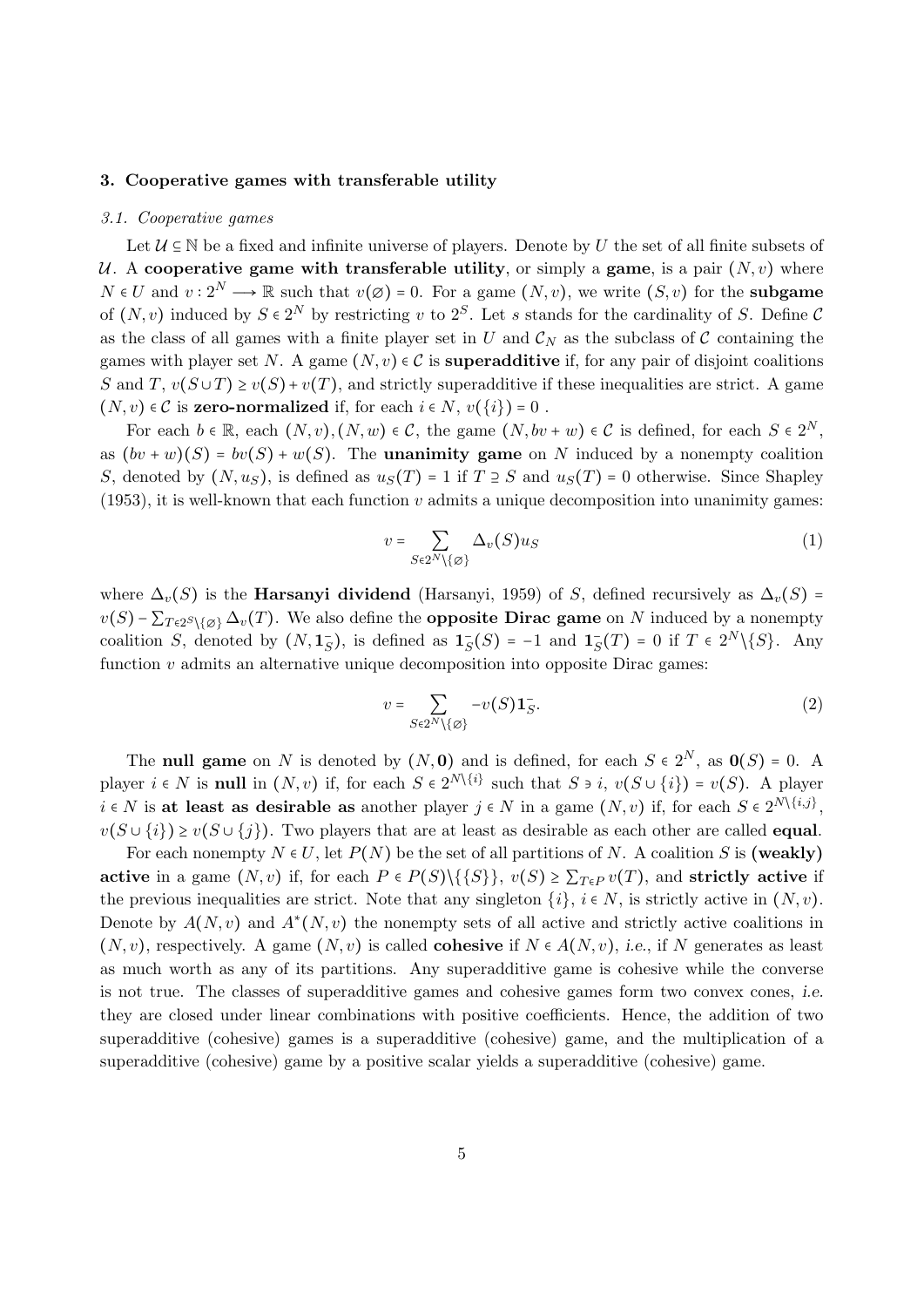#### 3. Cooperative games with transferable utility

#### 3.1. Cooperative games

Let  $U \subseteq \mathbb{N}$  be a fixed and infinite universe of players. Denote by U the set of all finite subsets of U. A cooperative game with transferable utility, or simply a game, is a pair  $(N, v)$  where  $N \in U$  and  $v: 2^N \longrightarrow \mathbb{R}$  such that  $v(\emptyset) = 0$ . For a game  $(N, v)$ , we write  $(S, v)$  for the subgame of  $(N, v)$  induced by  $S \in 2^N$  by restricting v to  $2^S$ . Let s stands for the cardinality of S. Define C as the class of all games with a finite player set in U and  $\mathcal{C}_N$  as the subclass of C containing the games with player set N. A game  $(N, v) \in \mathcal{C}$  is **superadditive** if, for any pair of disjoint coalitions S and T,  $v(S \cup T) \ge v(S) + v(T)$ , and strictly superadditive if these inequalities are strict. A game  $(N, v) \in \mathcal{C}$  is zero-normalized if, for each  $i \in N$ ,  $v(\{i\}) = 0$ .

For each  $b \in \mathbb{R}$ , each  $(N, v), (N, w) \in \mathcal{C}$ , the game  $(N, bv + w) \in \mathcal{C}$  is defined, for each  $S \in 2^N$ , as  $(bv + w)(S) = bv(S) + w(S)$ . The **unanimity game** on N induced by a nonempty coalition S, denoted by  $(N, u<sub>S</sub>)$ , is defined as  $u<sub>S</sub>(T) = 1$  if  $T \supseteq S$  and  $u<sub>S</sub>(T) = 0$  otherwise. Since Shapley  $(1953)$ , it is well-known that each function v admits a unique decomposition into unanimity games:

$$
v = \sum_{S \in 2^N \setminus \{\varnothing\}} \Delta_v(S) u_S \tag{1}
$$

where  $\Delta_v(S)$  is the **Harsanyi dividend** (Harsanyi, 1959) of S, defined recursively as  $\Delta_v(S)$  =  $v(S) - \sum_{T \in 2^S \setminus \{\emptyset\}} \Delta_v(T)$ . We also define the **opposite Dirac game** on N induced by a nonempty coalition S, denoted by  $(N, 1<sub>S</sub>)$ , is defined as  $1<sub>S</sub>(S) = -1$  and  $1<sub>S</sub>(T) = 0$  if  $T \in 2<sup>N</sup>\{S\}$ . Any function  $v$  admits an alternative unique decomposition into opposite Dirac games:

$$
v = \sum_{S \in 2^N \setminus \{ \varnothing \}} -v(S) \mathbf{1}_S^-.
$$
 (2)

The **null game** on N is denoted by  $(N, 0)$  and is defined, for each  $S \in 2^N$ , as  $0(S) = 0$ . A player  $i \in N$  is **null** in  $(N, v)$  if, for each  $S \in 2^{N \setminus \{i\}}$  such that  $S \ni i$ ,  $v(S \cup \{i\}) = v(S)$ . A player  $i \in N$  is at least as desirable as another player  $j \in N$  in a game  $(N, v)$  if, for each  $S \in 2^{N \setminus \{i,j\}}$ ,  $v(S \cup \{i\}) \geq v(S \cup \{j\})$ . Two players that are at least as desirable as each other are called **equal**.

For each nonempty  $N \in U$ , let  $P(N)$  be the set of all partitions of N. A coalition S is (weakly) active in a game  $(N, v)$  if, for each  $P \in P(S) \setminus \{\{S\}\}, v(S) \geq \sum_{T \in P} v(T)$ , and strictly active if the previous inequalities are strict. Note that any singleton  $\{i\}$ ,  $i \in N$ , is strictly active in  $(N, v)$ . Denote by  $A(N, v)$  and  $A^*(N, v)$  the nonempty sets of all active and strictly active coalitions in  $(N, v)$ , respectively. A game  $(N, v)$  is called **cohesive** if  $N \in A(N, v)$ , i.e., if N generates as least as much worth as any of its partitions. Any superadditive game is cohesive while the converse is not true. The classes of superadditive games and cohesive games form two convex cones, i.e. they are closed under linear combinations with positive coefficients. Hence, the addition of two superadditive (cohesive) games is a superadditive (cohesive) game, and the multiplication of a superadditive (cohesive) game by a positive scalar yields a superadditive (cohesive) game.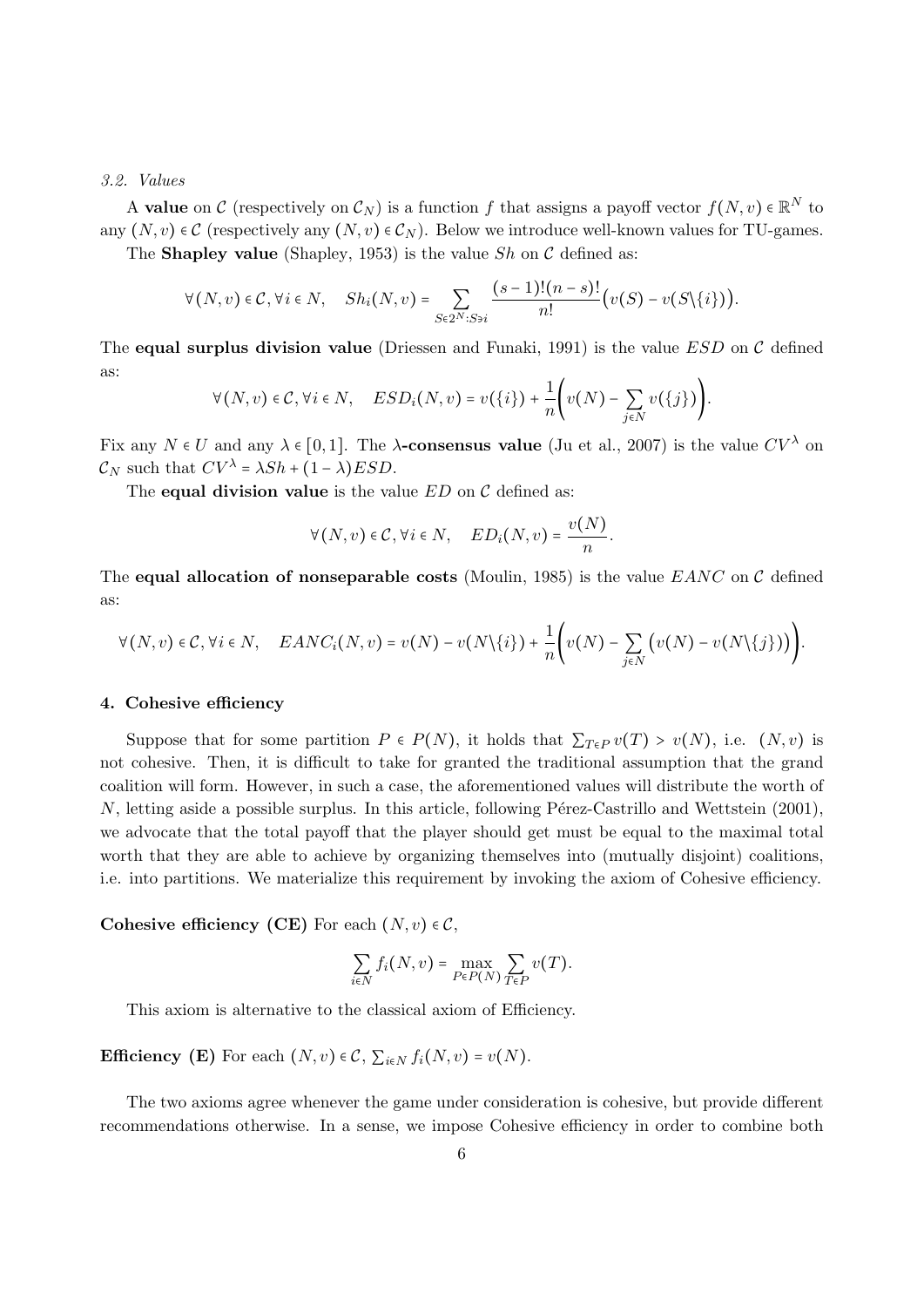#### 3.2. Values

A **value** on C (respectively on  $C_N$ ) is a function f that assigns a payoff vector  $f(N, v) \in \mathbb{R}^N$  to any  $(N, v) \in \mathcal{C}$  (respectively any  $(N, v) \in \mathcal{C}_N$ ). Below we introduce well-known values for TU-games.

The **Shapley value** (Shapley, 1953) is the value  $Sh$  on  $C$  defined as:

$$
\forall (N,v) \in \mathcal{C}, \forall i \in N, \quad Sh_i(N,v) = \sum_{S \in 2^N : S \ni i} \frac{(s-1)!(n-s)!}{n!} \big( v(S) - v(S \setminus \{i\}) \big).
$$

The equal surplus division value (Driessen and Funaki, 1991) is the value  $ESD$  on C defined as:

$$
\forall (N,v) \in \mathcal{C}, \forall i \in N, \quad ESD_i(N,v) = v(\lbrace i \rbrace) + \frac{1}{n} \Bigg( v(N) - \sum_{j \in N} v(\lbrace j \rbrace) \Bigg).
$$

Fix any  $N \in U$  and any  $\lambda \in [0, 1]$ . The  $\lambda$ -consensus value (Ju et al., 2007) is the value  $CV^{\lambda}$  on  $\mathcal{C}_N$  such that  $CV^{\lambda} = \lambda Sh + (1 - \lambda) ESD$ .

The **equal division value** is the value  $ED$  on  $C$  defined as:

$$
\forall (N,v) \in \mathcal{C}, \forall i \in N, \quad ED_i(N,v) = \frac{v(N)}{n}.
$$

The equal allocation of nonseparable costs (Moulin, 1985) is the value  $\textit{EANC}$  on C defined as:

$$
\forall (N,v) \in \mathcal{C}, \forall i \in N, \quad EANC_i(N,v) = v(N) - v(N\setminus\{i\}) + \frac{1}{n} \Bigg( v(N) - \sum_{j \in N} \bigg( v(N) - v(N\setminus\{j\}) \bigg) \Bigg).
$$

#### 4. Cohesive efficiency

Suppose that for some partition  $P \in P(N)$ , it holds that  $\sum_{T \in P} v(T) > v(N)$ , i.e.  $(N, v)$  is not cohesive. Then, it is difficult to take for granted the traditional assumption that the grand coalition will form. However, in such a case, the aforementioned values will distribute the worth of  $N$ , letting aside a possible surplus. In this article, following Pérez-Castrillo and Wettstein  $(2001)$ , we advocate that the total payoff that the player should get must be equal to the maximal total worth that they are able to achieve by organizing themselves into (mutually disjoint) coalitions, i.e. into partitions. We materialize this requirement by invoking the axiom of Cohesive efficiency.

Cohesive efficiency (CE) For each  $(N, v) \in \mathcal{C}$ ,

$$
\sum_{i\in N}f_i(N,v)=\max_{P\in {\cal P}(N)}\sum_{T\in {\cal P}}v(T).
$$

This axiom is alternative to the classical axiom of Efficiency.

Efficiency (E) For each  $(N, v) \in \mathcal{C}$ ,  $\sum_{i \in N} f_i(N, v) = v(N)$ .

The two axioms agree whenever the game under consideration is cohesive, but provide different recommendations otherwise. In a sense, we impose Cohesive efficiency in order to combine both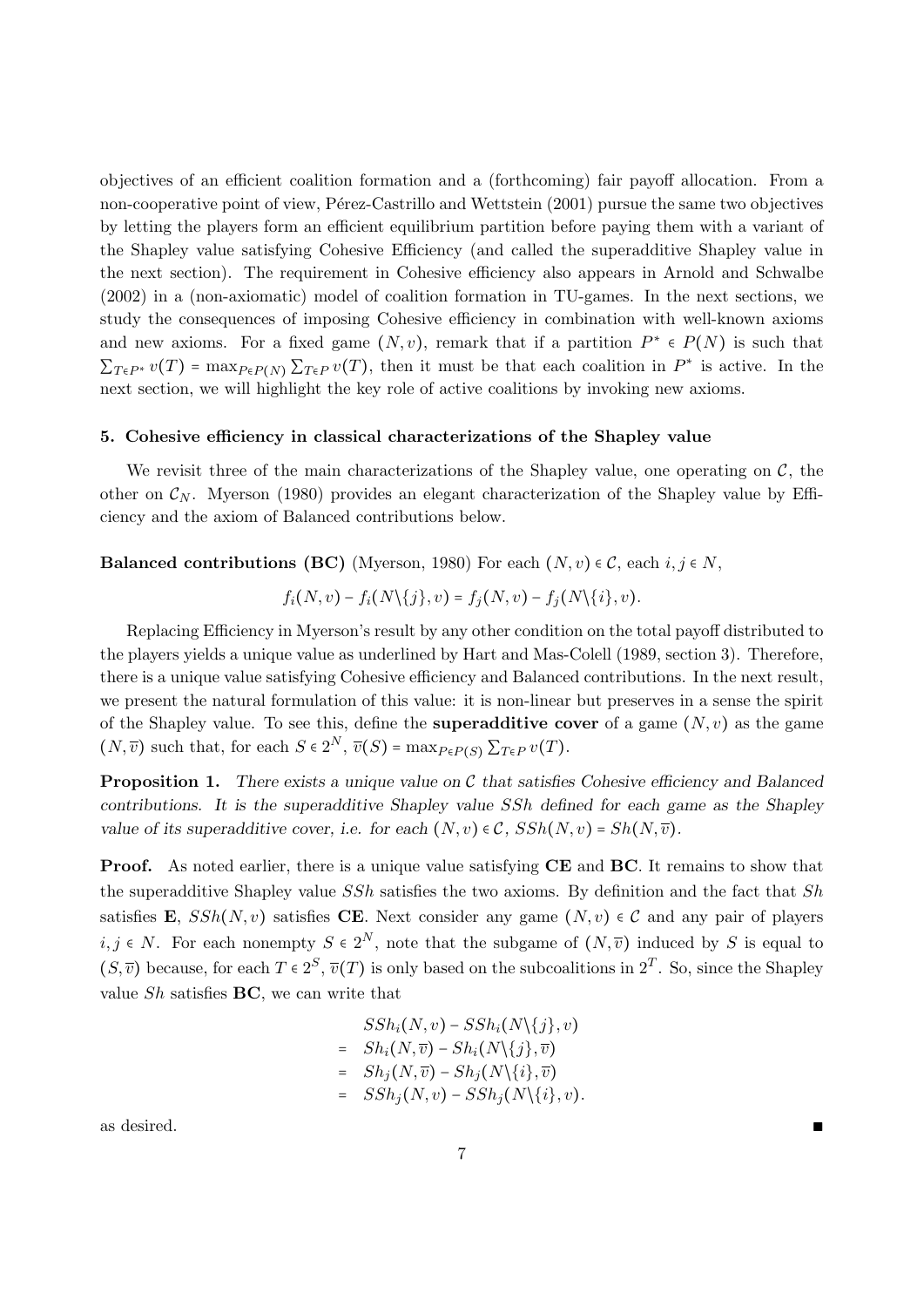objectives of an efficient coalition formation and a (forthcoming) fair payoff allocation. From a non-cooperative point of view, Pérez-Castrillo and Wettstein (2001) pursue the same two objectives by letting the players form an efficient equilibrium partition before paying them with a variant of the Shapley value satisfying Cohesive Efficiency (and called the superadditive Shapley value in the next section). The requirement in Cohesive efficiency also appears in Arnold and Schwalbe (2002) in a (non-axiomatic) model of coalition formation in TU-games. In the next sections, we study the consequences of imposing Cohesive efficiency in combination with well-known axioms and new axioms. For a fixed game  $(N, v)$ , remark that if a partition  $P^* \in P(N)$  is such that  $\sum_{T \in P^*} v(T) = \max_{P \in P(N)} \sum_{T \in P} v(T)$ , then it must be that each coalition in  $P^*$  is active. In the next section, we will highlight the key role of active coalitions by invoking new axioms.

#### 5. Cohesive efficiency in classical characterizations of the Shapley value

We revisit three of the main characterizations of the Shapley value, one operating on  $\mathcal{C}$ , the other on  $\mathcal{C}_N$ . Myerson (1980) provides an elegant characterization of the Shapley value by Efficiency and the axiom of Balanced contributions below.

#### **Balanced contributions (BC)** (Myerson, 1980) For each  $(N, v) \in \mathcal{C}$ , each  $i, j \in N$ ,

$$
f_i(N,v)-f_i(N\setminus\{j\},v)=f_j(N,v)-f_j(N\setminus\{i\},v).
$$

Replacing Efficiency in Myerson's result by any other condition on the total payoff distributed to the players yields a unique value as underlined by Hart and Mas-Colell (1989, section 3). Therefore, there is a unique value satisfying Cohesive efficiency and Balanced contributions. In the next result, we present the natural formulation of this value: it is non-linear but preserves in a sense the spirit of the Shapley value. To see this, define the **superadditive cover** of a game  $(N, v)$  as the game  $(N, \overline{v})$  such that, for each  $S \in 2^N$ ,  $\overline{v}(S) = \max_{P \in P(S)} \sum_{T \in P} v(T)$ .

**Proposition 1.** There exists a unique value on  $\mathcal C$  that satisfies Cohesive efficiency and Balanced contributions. It is the superadditive Shapley value SSh defined for each game as the Shapley value of its superadditive cover, i.e. for each  $(N, v) \in C$ ,  $SSh(N, v) = Sh(N, \overline{v}).$ 

**Proof.** As noted earlier, there is a unique value satisfying **CE** and **BC**. It remains to show that the superadditive Shapley value  $SSh$  satisfies the two axioms. By definition and the fact that  $Sh$ satisfies E,  $SSh(N, v)$  satisfies CE. Next consider any game  $(N, v) \in C$  and any pair of players  $i, j \in N$ . For each nonempty  $S \in 2^N$ , note that the subgame of  $(N, \overline{v})$  induced by S is equal to  $(S, \overline{v})$  because, for each  $T \in 2^S$ ,  $\overline{v}(T)$  is only based on the subcoalitions in  $2^T$ . So, since the Shapley value  $Sh$  satisfies **BC**, we can write that

$$
SSh_i(N, v) - SSh_i(N\{j\}, v)
$$
  
= Sh<sub>i</sub>(N,  $\overline{v}$ ) - Sh<sub>i</sub>(N\{j\},  $\overline{v}$ )  
= Sh<sub>j</sub>(N,  $\overline{v}$ ) - Sh<sub>j</sub>(N\{i\},  $\overline{v}$ )  
= SSh<sub>j</sub>(N, v) - SSh<sub>j</sub>(N\{i\}, v)

as desired.  $\blacksquare$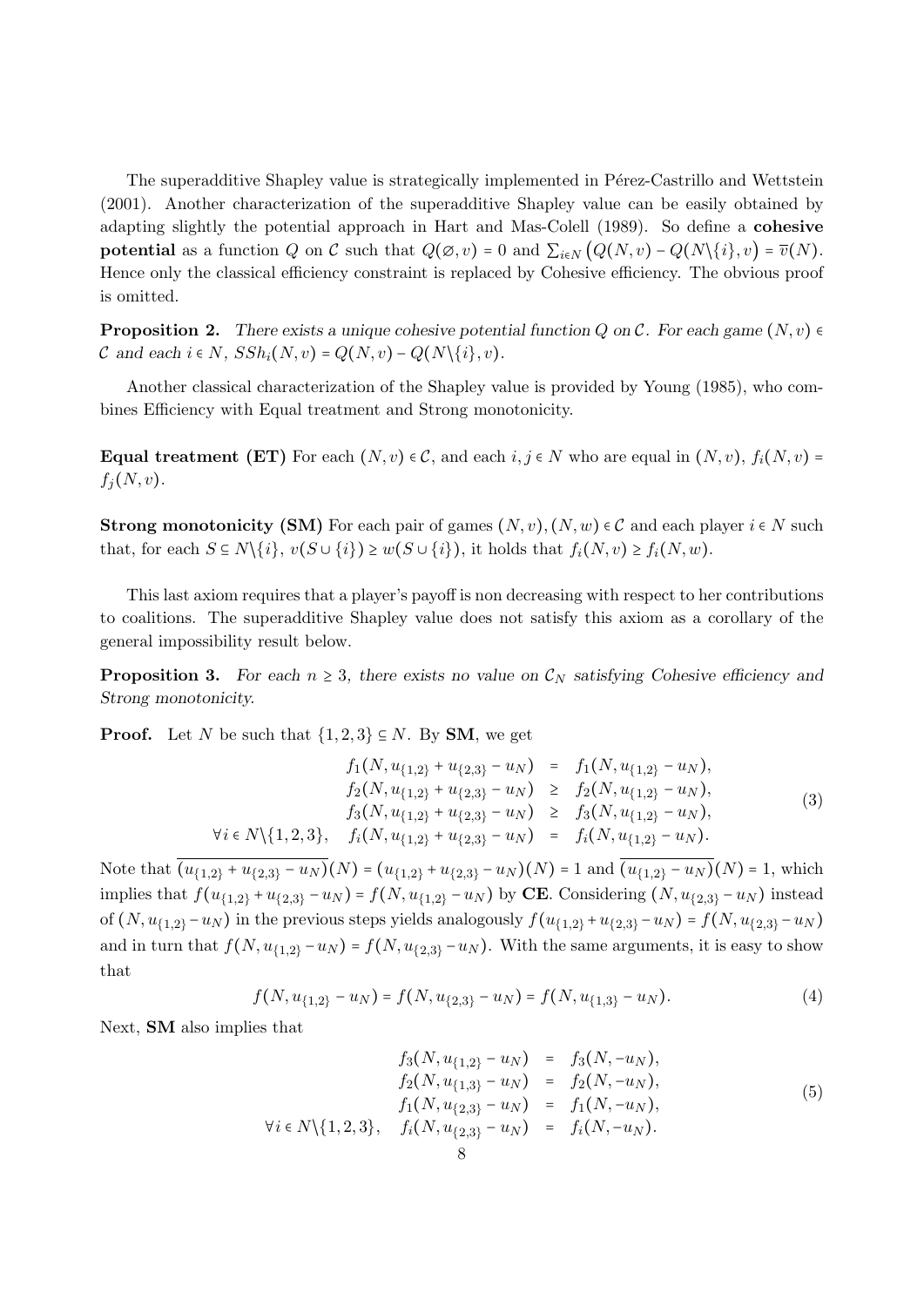The superadditive Shapley value is strategically implemented in Pérez-Castrillo and Wettstein (2001). Another characterization of the superadditive Shapley value can be easily obtained by adapting slightly the potential approach in Hart and Mas-Colell (1989). So define a cohesive **potential** as a function Q on C such that  $Q(\emptyset, v) = 0$  and  $\sum_{i \in N} (Q(N, v) - Q(N\{i\}, v) = \overline{v}(N))$ . Hence only the classical efficiency constraint is replaced by Cohesive efficiency. The obvious proof is omitted.

**Proposition 2.** There exists a unique cohesive potential function Q on C. For each game  $(N, v)$ C and each  $i \in N$ ,  $SSh_i(N, v) = Q(N, v) - Q(N\{i\}, v)$ .

Another classical characterization of the Shapley value is provided by Young (1985), who combines Efficiency with Equal treatment and Strong monotonicity.

Equal treatment (ET) For each  $(N, v) \in \mathcal{C}$ , and each  $i, j \in N$  who are equal in  $(N, v), f_i(N, v) =$  $f_j(N, v)$ .

**Strong monotonicity (SM)** For each pair of games  $(N, v)$ ,  $(N, w) \in \mathcal{C}$  and each player  $i \in N$  such that, for each  $S \subseteq N \setminus \{i\}, v(S \cup \{i\}) \ge w(S \cup \{i\}),$  it holds that  $f_i(N, v) \ge f_i(N, w)$ .

This last axiom requires that a player's payoff is non decreasing with respect to her contributions to coalitions. The superadditive Shapley value does not satisfy this axiom as a corollary of the general impossibility result below.

**Proposition 3.** For each  $n \geq 3$ , there exists no value on  $\mathcal{C}_N$  satisfying Cohesive efficiency and Strong monotonicity.

**Proof.** Let N be such that  $\{1,2,3\} \subseteq N$ . By **SM**, we get

$$
f_1(N, u_{\{1,2\}} + u_{\{2,3\}} - u_N) = f_1(N, u_{\{1,2\}} - u_N),
$$
  
\n
$$
f_2(N, u_{\{1,2\}} + u_{\{2,3\}} - u_N) \ge f_2(N, u_{\{1,2\}} - u_N),
$$
  
\n
$$
f_3(N, u_{\{1,2\}} + u_{\{2,3\}} - u_N) \ge f_3(N, u_{\{1,2\}} - u_N),
$$
  
\n
$$
\forall i \in N \setminus \{1, 2, 3\}, \quad f_i(N, u_{\{1,2\}} + u_{\{2,3\}} - u_N) = f_i(N, u_{\{1,2\}} - u_N).
$$
\n(3)

Note that  $\overline{(u_{\{1,2\}}+u_{\{2,3\}}-u_N)}(N)=(u_{\{1,2\}}+u_{\{2,3\}}-u_N)(N)=1$  and  $\overline{(u_{\{1,2\}}-u_N)}(N)=1$ , which implies that  $f(u_{\{1,2\}} + u_{\{2,3\}} - u_N) = f(N, u_{\{1,2\}} - u_N)$  by **CE**. Considering  $(N, u_{\{2,3\}} - u_N)$  instead of  $(N, u_{\{1,2\}}-u_N)$  in the previous steps yields analogously  $f(u_{\{1,2\}}+u_{\{2,3\}}-u_N) = f(N, u_{\{2,3\}}-u_N)$ and in turn that  $f(N, u_{1,2} - u_N) = f(N, u_{2,3} - u_N)$ . With the same arguments, it is easy to show that

$$
f(N, u_{\{1,2\}} - u_N) = f(N, u_{\{2,3\}} - u_N) = f(N, u_{\{1,3\}} - u_N). \tag{4}
$$

Next, SM also implies that

$$
f_3(N, u_{\{1,2\}} - u_N) = f_3(N, -u_N),
$$
  
\n
$$
f_2(N, u_{\{1,3\}} - u_N) = f_2(N, -u_N),
$$
  
\n
$$
f_1(N, u_{\{2,3\}} - u_N) = f_1(N, -u_N),
$$
  
\n
$$
\forall i \in N \setminus \{1, 2, 3\}, \quad f_i(N, u_{\{2,3\}} - u_N) = f_i(N, -u_N).
$$
\n(5)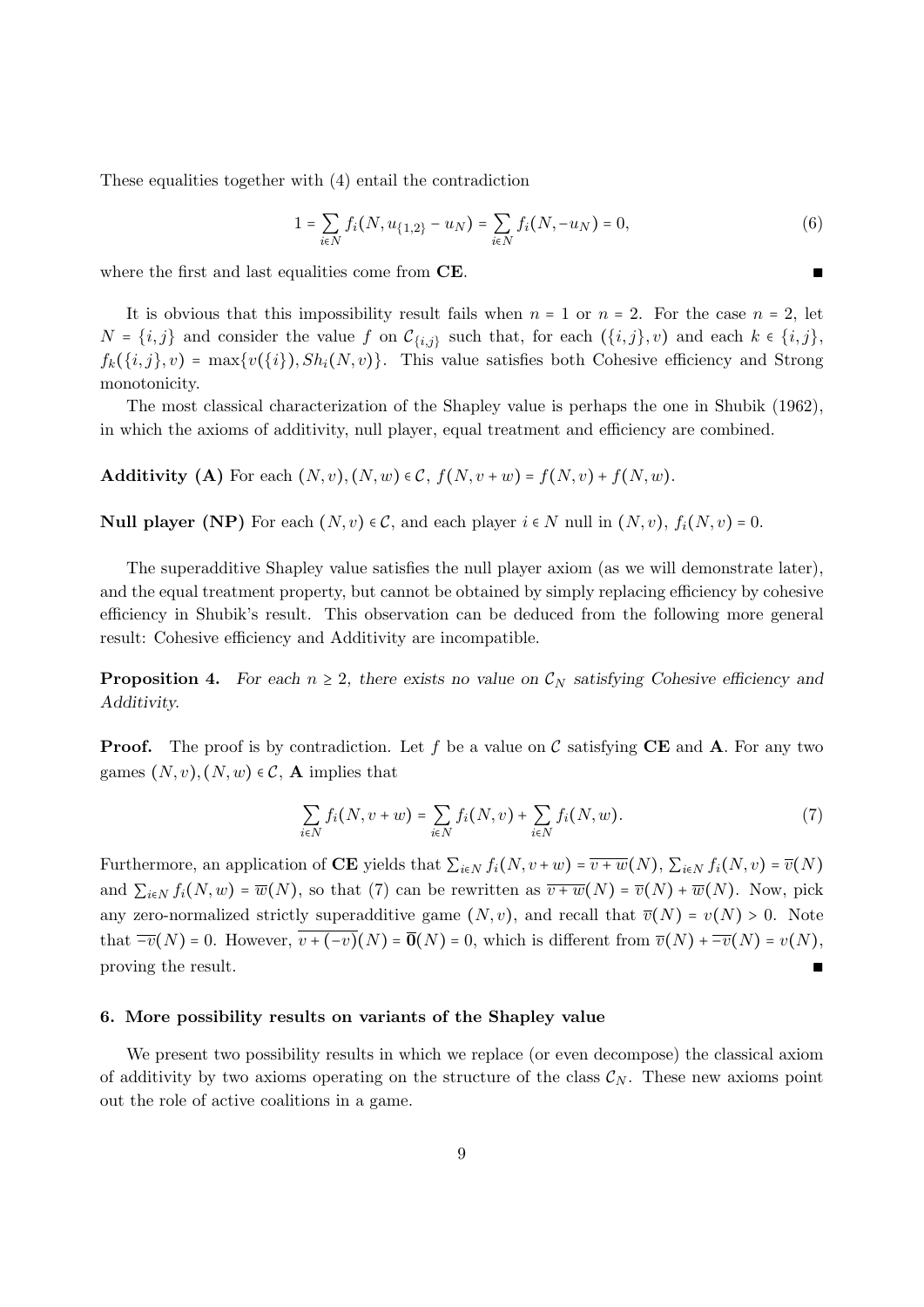These equalities together with (4) entail the contradiction

$$
1 = \sum_{i \in N} f_i(N, u_{\{1,2\}} - u_N) = \sum_{i \in N} f_i(N, -u_N) = 0,
$$
\n(6)

where the first and last equalities come from  $CE$ .

It is obvious that this impossibility result fails when  $n = 1$  or  $n = 2$ . For the case  $n = 2$ , let  $N = \{i, j\}$  and consider the value f on  $\mathcal{C}_{\{i,j\}}$  such that, for each  $(\{i, j\}, v)$  and each  $k \in \{i, j\}$ ,  $f_k(\{i,j\},v) = \max\{v(\{i\}), Sh_i(N,v)\}.$  This value satisfies both Cohesive efficiency and Strong monotonicity.

The most classical characterization of the Shapley value is perhaps the one in Shubik (1962), in which the axioms of additivity, null player, equal treatment and efficiency are combined.

Additivity (A) For each  $(N, v), (N, w) \in \mathcal{C}$ ,  $f(N, v+w) = f(N, v) + f(N, w)$ .

**Null player (NP)** For each  $(N, v) \in C$ , and each player  $i \in N$  null in  $(N, v)$ ,  $f_i(N, v) = 0$ .

The superadditive Shapley value satisfies the null player axiom (as we will demonstrate later), and the equal treatment property, but cannot be obtained by simply replacing efficiency by cohesive efficiency in Shubik's result. This observation can be deduced from the following more general result: Cohesive efficiency and Additivity are incompatible.

**Proposition 4.** For each  $n \geq 2$ , there exists no value on  $\mathcal{C}_N$  satisfying Cohesive efficiency and Additivity.

**Proof.** The proof is by contradiction. Let f be a value on C satisfying CE and A. For any two games  $(N, v), (N, w) \in \mathcal{C}$ , **A** implies that

$$
\sum_{i \in N} f_i(N, v + w) = \sum_{i \in N} f_i(N, v) + \sum_{i \in N} f_i(N, w).
$$
 (7)

Furthermore, an application of CE yields that  $\sum_{i\in N} f_i(N, v+w) = \overline{v+w}(N)$ ,  $\sum_{i\in N} f_i(N, v) = \overline{v}(N)$ and  $\sum_{i\in N} f_i(N, w) = \overline{w}(N)$ , so that (7) can be rewritten as  $\overline{v+w}(N) = \overline{v}(N) + \overline{w}(N)$ . Now, pick any zero-normalized strictly superadditive game  $(N, v)$ , and recall that  $\overline{v}(N) = v(N) > 0$ . Note that  $\overline{-v}(N) = 0$ . However,  $\overline{v + (-v)}(N) = \overline{0}(N) = 0$ , which is different from  $\overline{v}(N) + \overline{-v}(N) = v(N)$ , proving the result. proving the result.

#### 6. More possibility results on variants of the Shapley value

We present two possibility results in which we replace (or even decompose) the classical axiom of additivity by two axioms operating on the structure of the class  $\mathcal{C}_N$ . These new axioms point out the role of active coalitions in a game.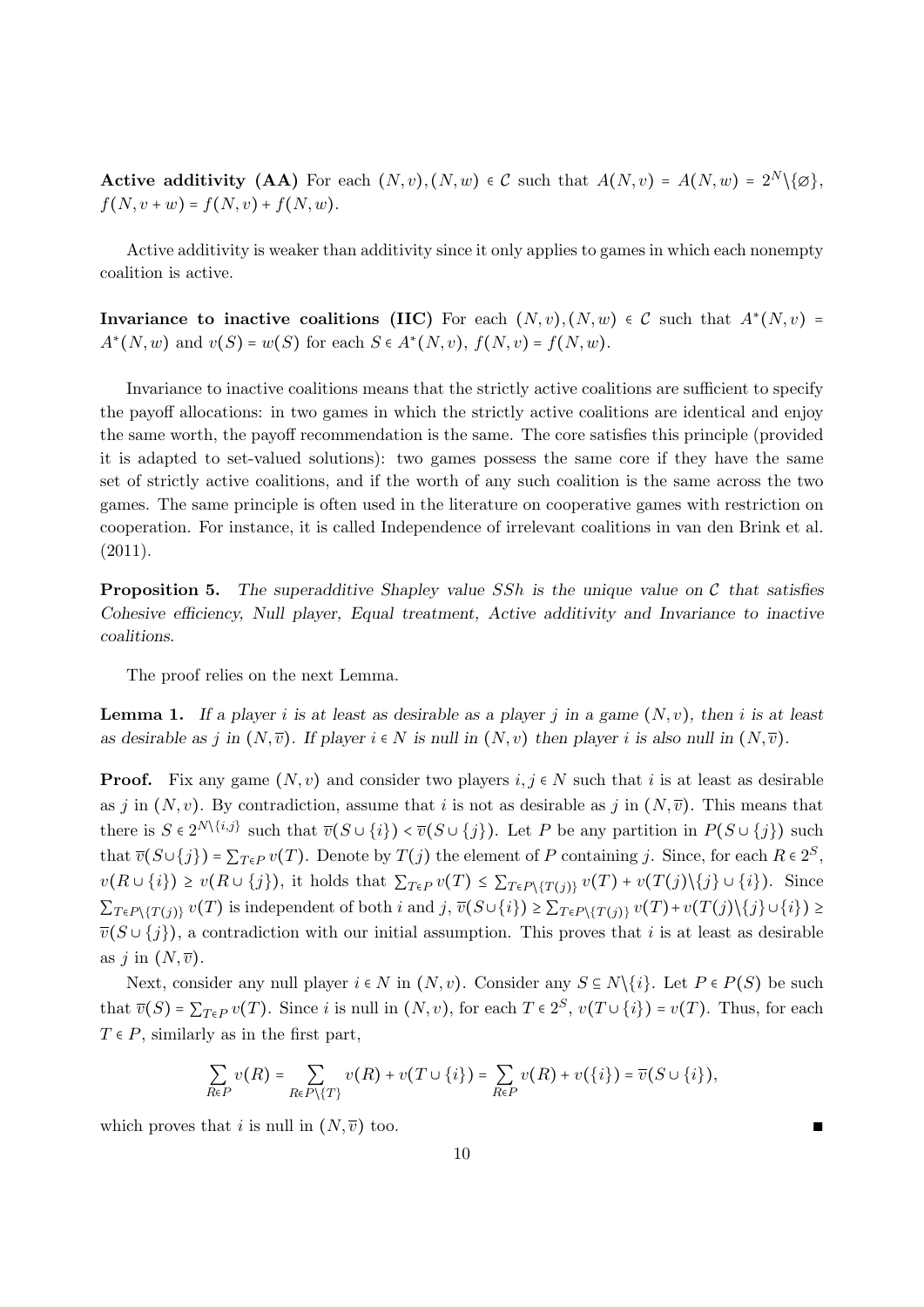Active additivity (AA) For each  $(N, v), (N, w) \in C$  such that  $A(N, v) = A(N, w) = 2^N \setminus \{\emptyset\},$  $f(N, v + w) = f(N, v) + f(N, w).$ 

Active additivity is weaker than additivity since it only applies to games in which each nonempty coalition is active.

Invariance to inactive coalitions (IIC) For each  $(N, v), (N, w) \in C$  such that  $A^*(N, v) = A^*(N, v)$  $A^*(N, w)$  and  $v(S) = w(S)$  for each  $S \in A^*(N, v)$ ,  $f(N, v) = f(N, w)$ .

Invariance to inactive coalitions means that the strictly active coalitions are sufficient to specify the payoff allocations: in two games in which the strictly active coalitions are identical and enjoy the same worth, the payoff recommendation is the same. The core satisfies this principle (provided it is adapted to set-valued solutions): two games possess the same core if they have the same set of strictly active coalitions, and if the worth of any such coalition is the same across the two games. The same principle is often used in the literature on cooperative games with restriction on cooperation. For instance, it is called Independence of irrelevant coalitions in van den Brink et al. (2011).

**Proposition 5.** The superadditive Shapley value SSh is the unique value on  $\mathcal C$  that satisfies Cohesive efficiency, Null player, Equal treatment, Active additivity and Invariance to inactive coalitions.

The proof relies on the next Lemma.

**Lemma 1.** If a player i is at least as desirable as a player j in a game  $(N, v)$ , then i is at least as desirable as j in  $(N, \overline{v})$ . If player  $i \in N$  is null in  $(N, v)$  then player i is also null in  $(N, \overline{v})$ .

**Proof.** Fix any game  $(N, v)$  and consider two players  $i, j \in N$  such that i is at least as desirable as j in  $(N, v)$ . By contradiction, assume that i is not as desirable as j in  $(N, \overline{v})$ . This means that there is  $S \in 2^{N\setminus\{i,j\}}$  such that  $\overline{v}(S \cup \{i\}) < \overline{v}(S \cup \{j\})$ . Let P be any partition in  $P(S \cup \{j\})$  such that  $\overline{v}(S \cup \{j\}) = \sum_{T \in P} v(T)$ . Denote by  $T(j)$  the element of P containing j. Since, for each  $R \in 2^S$ ,  $v(R \cup \{i\}) \geq v(R \cup \{j\}),$  it holds that  $\sum_{T \in P} v(T) \leq \sum_{T \in P \setminus \{T(i)\}} v(T) + v(T(j) \setminus \{j\} \cup \{i\}).$  Since  $\sum_{T \in P \setminus \{T(j)\}} v(T)$  is independent of both i and  $j, \overline{v}(S \cup \{i\}) \geq \sum_{T \in P \setminus \{T(j)\}} v(T) + v(T(j)\setminus \{j\} \cup \{i\}) \geq$  $\overline{v}(S \cup \{j\})$ , a contradiction with our initial assumption. This proves that i is at least as desirable as j in  $(N, \overline{v})$ .

Next, consider any null player  $i \in N$  in  $(N, v)$ . Consider any  $S \subseteq N \setminus \{i\}$ . Let  $P \in P(S)$  be such that  $\overline{v}(S) = \sum_{T \in P} v(T)$ . Since i is null in  $(N, v)$ , for each  $T \in 2^S$ ,  $v(T \cup \{i\}) = v(T)$ . Thus, for each  $T \in P$ , similarly as in the first part,

$$
\sum_{R\in P} v(R) = \sum_{R\in P\setminus\{T\}} v(R) + v(T \cup \{i\}) = \sum_{R\in P} v(R) + v(\{i\}) = \overline{v}(S \cup \{i\}),
$$

which proves that i is null in  $(N, \overline{v})$  too.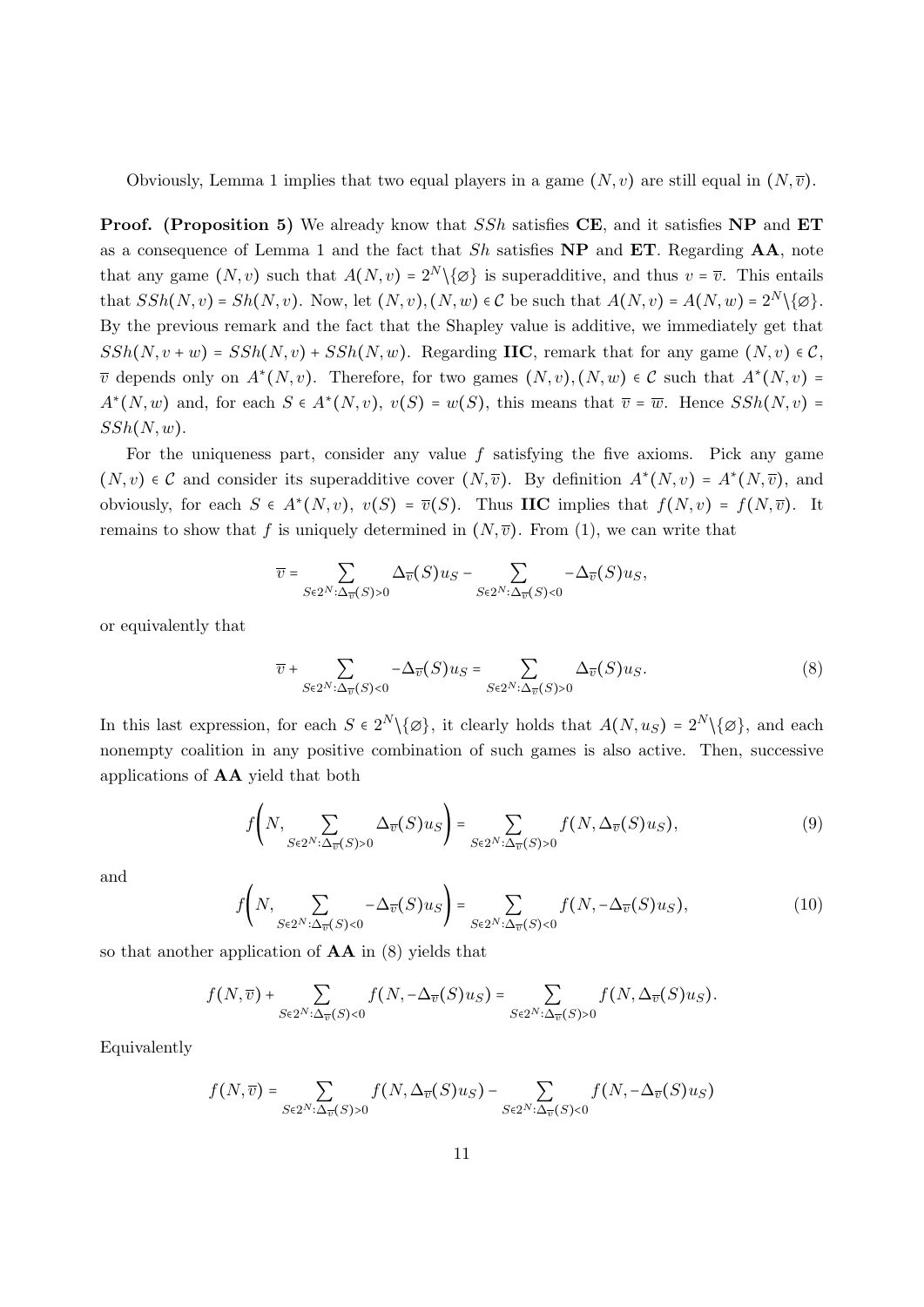Obviously, Lemma 1 implies that two equal players in a game  $(N, v)$  are still equal in  $(N, \overline{v})$ .

**Proof.** (Proposition 5) We already know that SSh satisfies CE, and it satisfies NP and ET as a consequence of Lemma 1 and the fact that  $Sh$  satisfies  $NP$  and  $ET$ . Regarding  $AA$ , note that any game  $(N, v)$  such that  $A(N, v) = 2^N \setminus \{ \varnothing \}$  is superadditive, and thus  $v = \overline{v}$ . This entails that  $SSh(N, v) = Sh(N, v)$ . Now, let  $(N, v), (N, w) \in \mathcal{C}$  be such that  $A(N, v) = A(N, w) = 2^N \setminus {\emptyset}.$ By the previous remark and the fact that the Shapley value is additive, we immediately get that  $SSh(N, v + w) = SSh(N, v) + SSh(N, w)$ . Regarding IIC, remark that for any game  $(N, v) \in C$ ,  $\overline{v}$  depends only on  $A^*(N, v)$ . Therefore, for two games  $(N, v), (N, w) \in \mathcal{C}$  such that  $A^*(N, v)$  =  $A^*(N, w)$  and, for each  $S \in A^*(N, v)$ ,  $v(S) = w(S)$ , this means that  $\overline{v} = \overline{w}$ . Hence  $SSh(N, v) =$  $SSh(N, w)$ .

For the uniqueness part, consider any value  $f$  satisfying the five axioms. Pick any game  $(N, v) \in \mathcal{C}$  and consider its superadditive cover  $(N, \overline{v})$ . By definition  $A^*(N, v) = A^*(N, \overline{v})$ , and obviously, for each  $S \in A^*(N, v)$ ,  $v(S) = \overline{v}(S)$ . Thus **IIC** implies that  $f(N, v) = f(N, \overline{v})$ . It remains to show that f is uniquely determined in  $(N, \overline{v})$ . From (1), we can write that

$$
\overline{v} = \sum_{S \in 2^N : \Delta_{\overline{v}}(S) > 0} \Delta_{\overline{v}}(S) u_S - \sum_{S \in 2^N : \Delta_{\overline{v}}(S) < 0} -\Delta_{\overline{v}}(S) u_S,
$$

or equivalently that

$$
\overline{v} + \sum_{S \in 2^N : \Delta_{\overline{v}}(S) < 0} -\Delta_{\overline{v}}(S)u_S = \sum_{S \in 2^N : \Delta_{\overline{v}}(S) > 0} \Delta_{\overline{v}}(S)u_S. \tag{8}
$$

In this last expression, for each  $S \in 2^N \setminus \{ \emptyset \}$ , it clearly holds that  $A(N, u_S) = 2^N \setminus \{ \emptyset \}$ , and each nonempty coalition in any positive combination of such games is also active. Then, successive applications of AA yield that both

$$
f\left(N,\sum_{S\in2^{N}:\Delta_{\overline{v}}(S)>0}\Delta_{\overline{v}}(S)u_{S}\right)=\sum_{S\in2^{N}:\Delta_{\overline{v}}(S)>0}f(N,\Delta_{\overline{v}}(S)u_{S}),
$$
\n(9)

and

$$
f\left(N,\sum_{S\in2^{N}:\Delta_{\overline{v}}(S)<0}-\Delta_{\overline{v}}(S)u_{S}\right)=\sum_{S\in2^{N}:\Delta_{\overline{v}}(S)<0}f(N,-\Delta_{\overline{v}}(S)u_{S}),
$$
\n(10)

so that another application of  $AA$  in (8) yields that

$$
f(N,\overline{v})+\sum_{S\in 2^N:\Delta_{\overline{v}}(S)<0}f(N,-\Delta_{\overline{v}}(S)u_S)=\sum_{S\in 2^N:\Delta_{\overline{v}}(S)>0}f(N,\Delta_{\overline{v}}(S)u_S).
$$

Equivalently

$$
f(N,\overline{v})=\sum_{S\in 2^N:\Delta_{\overline{v}}(S)>0}f(N,\Delta_{\overline{v}}(S)u_S)-\sum_{S\in 2^N:\Delta_{\overline{v}}(S)<0}f(N,-\Delta_{\overline{v}}(S)u_S)
$$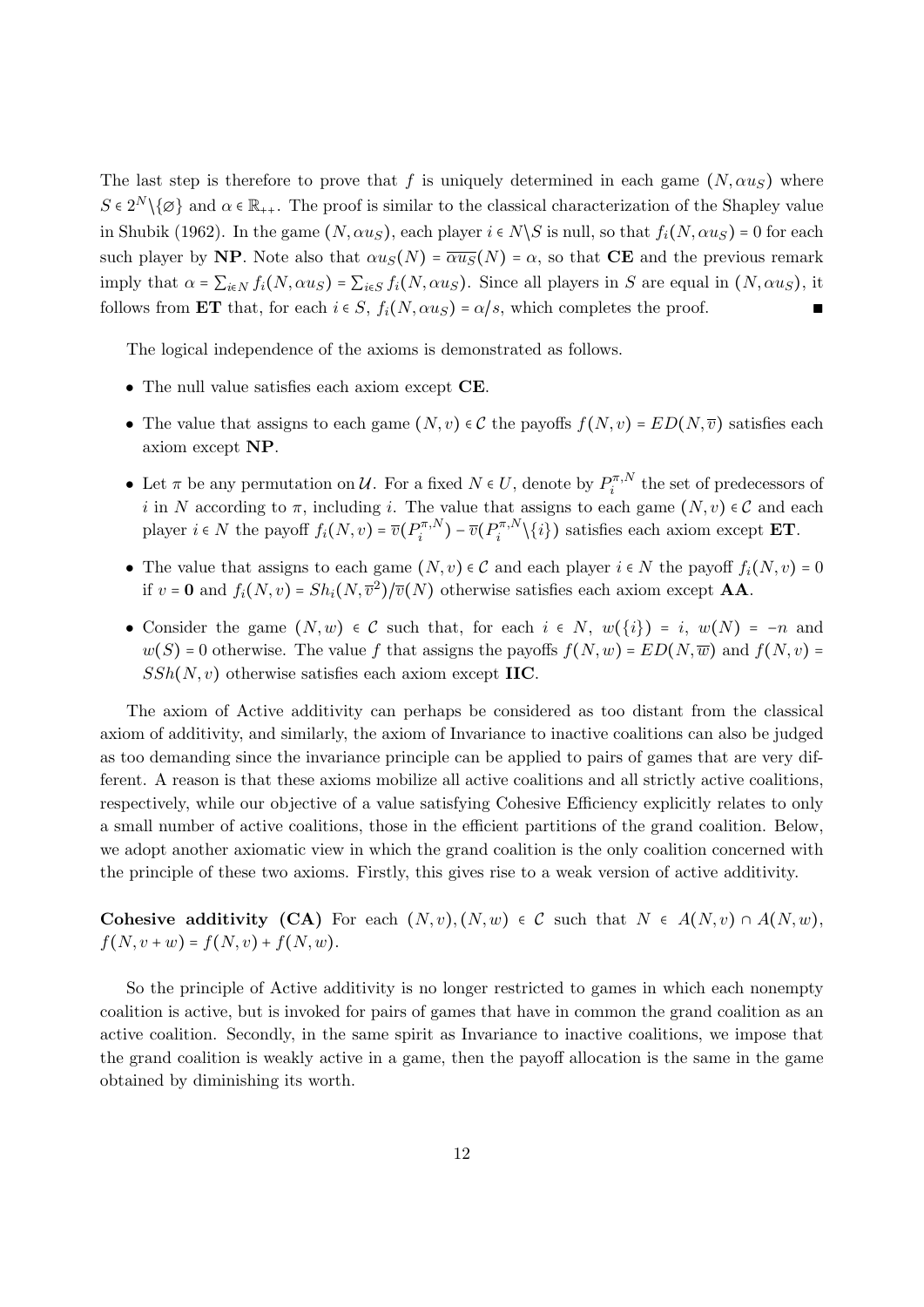The last step is therefore to prove that f is uniquely determined in each game  $(N, \alpha u_S)$  where  $S \in 2^N \setminus \{\emptyset\}$  and  $\alpha \in \mathbb{R}_{++}$ . The proof is similar to the classical characterization of the Shapley value in Shubik (1962). In the game  $(N, \alpha u_S)$ , each player  $i \in N \backslash S$  is null, so that  $f_i(N, \alpha u_S) = 0$  for each such player by NP. Note also that  $\alpha u_S(N) = \overline{\alpha u_S}(N) = \alpha$ , so that CE and the previous remark imply that  $\alpha = \sum_{i \in N} f_i(N, \alpha u_S) = \sum_{i \in S} f_i(N, \alpha u_S)$ . Since all players in S are equal in  $(N, \alpha u_S)$ , it follows from ET that, for each  $i \in S$ ,  $f_i(N, \alpha u_S) = \alpha/s$ , which completes the proof.

The logical independence of the axioms is demonstrated as follows.

- The null value satisfies each axiom except **CE**.
- The value that assigns to each game  $(N, v) \in \mathcal{C}$  the payoffs  $f(N, v) = ED(N, \overline{v})$  satisfies each axiom except NP.
- Let  $\pi$  be any permutation on  $\mathcal{U}$ . For a fixed  $N \in U$ , denote by  $P_i^{\pi,N}$  $i^{n,N}$  the set of predecessors of i in N according to  $\pi$ , including i. The value that assigns to each game  $(N, v) \in \mathcal{C}$  and each player  $i \in N$  the payoff  $f_i(N, v) = \overline{v}(P_i^{\pi, N})$  $p_i^{\pi,N}) - \overline{v}(P_i^{\pi,N})$  $\{i\}$  satisfies each axiom except **ET**.
- The value that assigns to each game  $(N, v) \in \mathcal{C}$  and each player  $i \in N$  the payoff  $f_i(N, v) = 0$ if  $v = \mathbf{0}$  and  $f_i(N, v) = Sh_i(N, \overline{v}^2)/\overline{v}(N)$  otherwise satisfies each axiom except **AA**.
- Consider the game  $(N, w) \in \mathcal{C}$  such that, for each  $i \in N$ ,  $w(\{i\}) = i$ ,  $w(N) = -n$  and  $w(S) = 0$  otherwise. The value f that assigns the payoffs  $f(N, w) = ED(N, \overline{w})$  and  $f(N, v) =$  $SSh(N, v)$  otherwise satisfies each axiom except IIC.

The axiom of Active additivity can perhaps be considered as too distant from the classical axiom of additivity, and similarly, the axiom of Invariance to inactive coalitions can also be judged as too demanding since the invariance principle can be applied to pairs of games that are very different. A reason is that these axioms mobilize all active coalitions and all strictly active coalitions, respectively, while our objective of a value satisfying Cohesive Efficiency explicitly relates to only a small number of active coalitions, those in the efficient partitions of the grand coalition. Below, we adopt another axiomatic view in which the grand coalition is the only coalition concerned with the principle of these two axioms. Firstly, this gives rise to a weak version of active additivity.

Cohesive additivity (CA) For each  $(N, v), (N, w) \in \mathcal{C}$  such that  $N \in A(N, v) \cap A(N, w)$ ,  $f(N, v + w) = f(N, v) + f(N, w).$ 

So the principle of Active additivity is no longer restricted to games in which each nonempty coalition is active, but is invoked for pairs of games that have in common the grand coalition as an active coalition. Secondly, in the same spirit as Invariance to inactive coalitions, we impose that the grand coalition is weakly active in a game, then the payoff allocation is the same in the game obtained by diminishing its worth.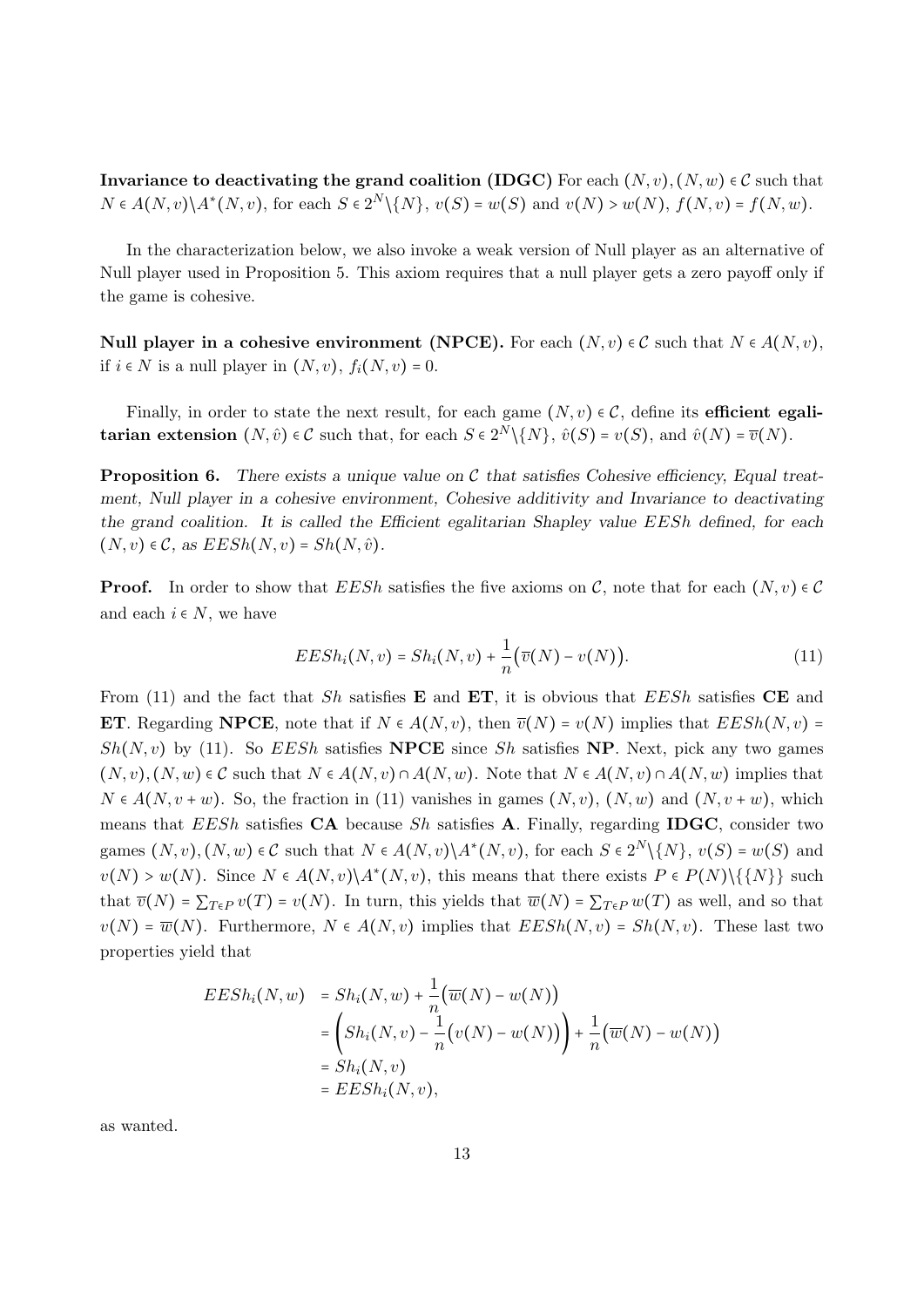Invariance to deactivating the grand coalition (IDGC) For each  $(N, v), (N, w) \in \mathcal{C}$  such that  $N ∈ A(N, v) \ A^*(N, v)$ , for each  $S ∈ 2^N \ \{N\}$ ,  $v(S) = w(S)$  and  $v(N) > w(N)$ ,  $f(N, v) = f(N, w)$ .

In the characterization below, we also invoke a weak version of Null player as an alternative of Null player used in Proposition 5. This axiom requires that a null player gets a zero payoff only if the game is cohesive.

Null player in a cohesive environment (NPCE). For each  $(N, v) \in \mathcal{C}$  such that  $N \in A(N, v)$ , if *i* ∈ *N* is a null player in  $(N, v)$ ,  $f_i(N, v) = 0$ .

Finally, in order to state the next result, for each game  $(N, v) \in \mathcal{C}$ , define its **efficient egalitarian extension**  $(N, \hat{v}) \in \mathcal{C}$  such that, for each  $S \in 2^N \setminus \{N\}$ ,  $\hat{v}(S) = v(S)$ , and  $\hat{v}(N) = \overline{v}(N)$ .

**Proposition 6.** There exists a unique value on  $\mathcal C$  that satisfies Cohesive efficiency, Equal treatment, Null player in a cohesive environment, Cohesive additivity and Invariance to deactivating the grand coalition. It is called the Efficient egalitarian Shapley value EESh defined, for each  $(N, v) \in \mathcal{C}$ , as  $EESh(N, v) = Sh(N, \hat{v})$ .

**Proof.** In order to show that  $EESh$  satisfies the five axioms on C, note that for each  $(N, v) \in \mathcal{C}$ and each  $i \in N$ , we have

$$
EESh_i(N, v) = Sh_i(N, v) + \frac{1}{n}(\overline{v}(N) - v(N)).
$$
\n(11)

From (11) and the fact that Sh satisfies **E** and **ET**, it is obvious that  $EESh$  satisfies **CE** and ET. Regarding NPCE, note that if  $N \in A(N, v)$ , then  $\overline{v}(N) = v(N)$  implies that  $EESh(N, v) =$  $Sh(N, v)$  by (11). So EESh satisfies **NPCE** since Sh satisfies **NP**. Next, pick any two games  $(N, v), (N, w) \in \mathcal{C}$  such that  $N \in A(N, v) \cap A(N, w)$ . Note that  $N \in A(N, v) \cap A(N, w)$  implies that  $N \in A(N, v + w)$ . So, the fraction in (11) vanishes in games  $(N, v)$ ,  $(N, w)$  and  $(N, v + w)$ , which means that EESh satisfies  $CA$  because Sh satisfies A. Finally, regarding IDGC, consider two games  $(N, v), (N, w) \in \mathcal{C}$  such that  $N \in A(N, v) \setminus A^*(N, v)$ , for each  $S \in 2^N \setminus \{N\}, v(S) = w(S)$  and  $v(N) > w(N)$ . Since  $N \in A(N, v) \backslash A^*(N, v)$ , this means that there exists  $P \in P(N) \backslash \{\{N\}\}\$  such that  $\overline{v}(N) = \sum_{T \in P} v(T) = v(N)$ . In turn, this yields that  $\overline{w}(N) = \sum_{T \in P} w(T)$  as well, and so that  $v(N) = \overline{w}(N)$ . Furthermore,  $N \in A(N, v)$  implies that  $EESh(N, v) = Sh(N, v)$ . These last two properties yield that

$$
EESh_i(N, w) = Sh_i(N, w) + \frac{1}{n}(\overline{w}(N) - w(N))
$$
  
= 
$$
\left( Sh_i(N, v) - \frac{1}{n}(v(N) - w(N)) \right) + \frac{1}{n}(\overline{w}(N) - w(N))
$$
  
= 
$$
Sh_i(N, v)
$$
  
= 
$$
EESh_i(N, v),
$$

as wanted.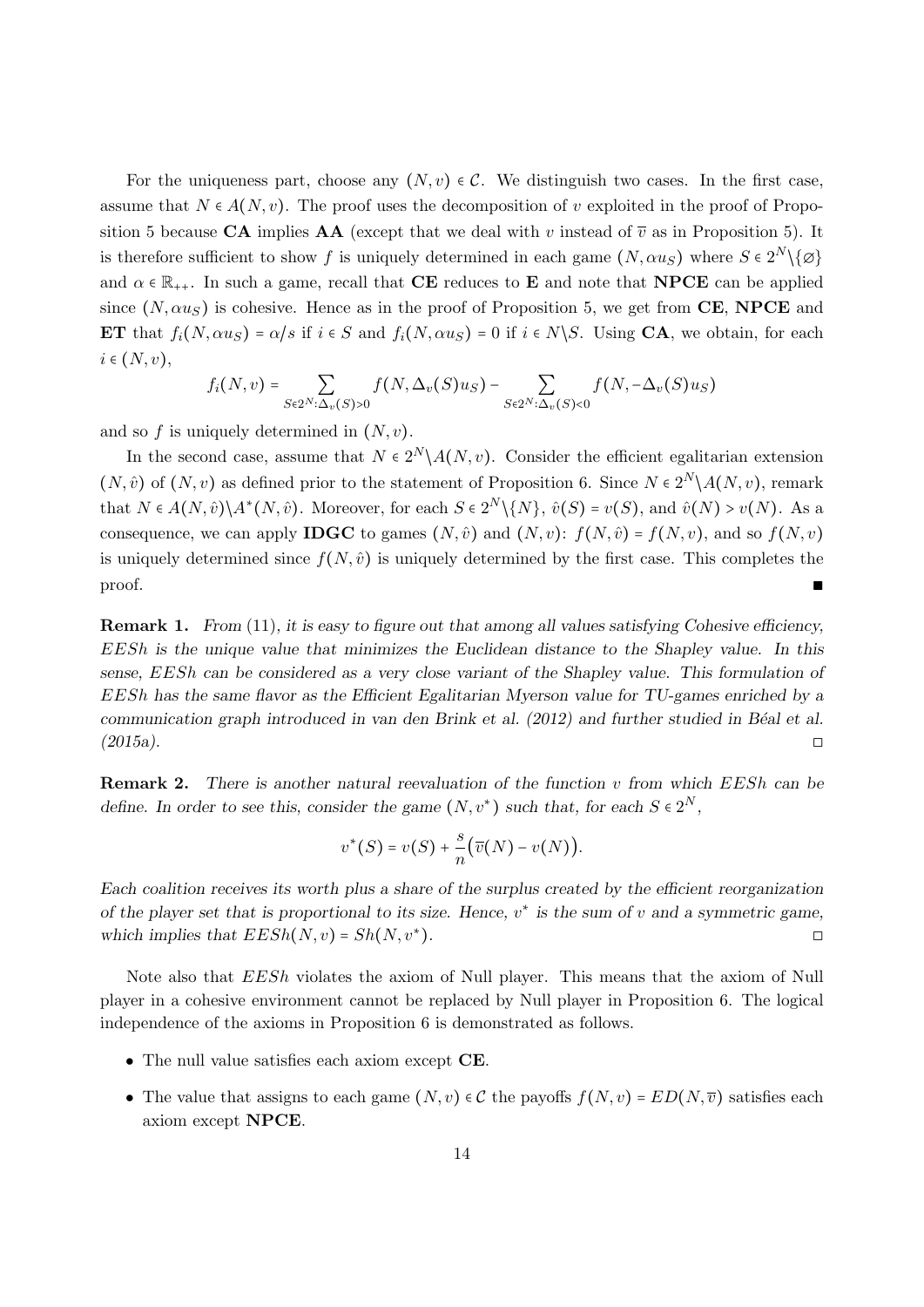For the uniqueness part, choose any  $(N, v) \in \mathcal{C}$ . We distinguish two cases. In the first case, assume that  $N \in A(N, v)$ . The proof uses the decomposition of v exploited in the proof of Proposition 5 because CA implies AA (except that we deal with v instead of  $\overline{v}$  as in Proposition 5). It is therefore sufficient to show f is uniquely determined in each game  $(N, \alpha u_S)$  where  $S \in 2^N \setminus \{ \emptyset \}$ and  $\alpha \in \mathbb{R}_{++}$ . In such a game, recall that **CE** reduces to **E** and note that **NPCE** can be applied since  $(N, \alpha u_s)$  is cohesive. Hence as in the proof of Proposition 5, we get from CE, NPCE and ET that  $f_i(N, \alpha u_S) = \alpha/s$  if  $i \in S$  and  $f_i(N, \alpha u_S) = 0$  if  $i \in N \setminus S$ . Using CA, we obtain, for each  $i \in (N, v),$ 

$$
f_i(N, v) = \sum_{S \in 2^N : \Delta_v(S) > 0} f(N, \Delta_v(S)u_S) - \sum_{S \in 2^N : \Delta_v(S) < 0} f(N, -\Delta_v(S)u_S)
$$

and so  $f$  is uniquely determined in  $(N, v)$ .

In the second case, assume that  $N \in 2^N \setminus A(N, v)$ . Consider the efficient egalitarian extension  $(N, \hat{v})$  of  $(N, v)$  as defined prior to the statement of Proposition 6. Since  $N \in 2^N \setminus A(N, v)$ , remark that  $N \in A(N, \hat{v}) \backslash A^*(N, \hat{v})$ . Moreover, for each  $S \in 2^N \backslash \{N\}$ ,  $\hat{v}(S) = v(S)$ , and  $\hat{v}(N) > v(N)$ . As a consequence, we can apply **IDGC** to games  $(N, \hat{v})$  and  $(N, v)$ :  $f(N, \hat{v}) = f(N, v)$ , and so  $f(N, v)$ is uniquely determined since  $f(N, \hat{v})$  is uniquely determined by the first case. This completes the  $\Box$  proof.

**Remark 1.** From (11), it is easy to figure out that among all values satisfying Cohesive efficiency, EESh is the unique value that minimizes the Euclidean distance to the Shapley value. In this sense, EESh can be considered as a very close variant of the Shapley value. This formulation of EESh has the same flavor as the Efficient Egalitarian Myerson value for TU-games enriched by a communication graph introduced in van den Brink et al. (2012) and further studied in Béal et al.  $(2015a).$ 

**Remark 2.** There is another natural reevaluation of the function v from which  $EESh$  can be define. In order to see this, consider the game  $(N, v^*)$  such that, for each  $S \in 2^N$ ,

$$
v^*(S) = v(S) + \frac{s}{n}(\overline{v}(N) - v(N)).
$$

Each coalition receives its worth plus a share of the surplus created by the efficient reorganization of the player set that is proportional to its size. Hence,  $v^*$  is the sum of v and a symmetric game, which implies that  $EESh(N, v) = Sh(N, v^*)$ .  $\Box$ ).

Note also that EESh violates the axiom of Null player. This means that the axiom of Null player in a cohesive environment cannot be replaced by Null player in Proposition 6. The logical independence of the axioms in Proposition 6 is demonstrated as follows.

- The null value satisfies each axiom except CE.
- The value that assigns to each game  $(N, v) \in \mathcal{C}$  the payoffs  $f(N, v) = ED(N, \overline{v})$  satisfies each axiom except NPCE.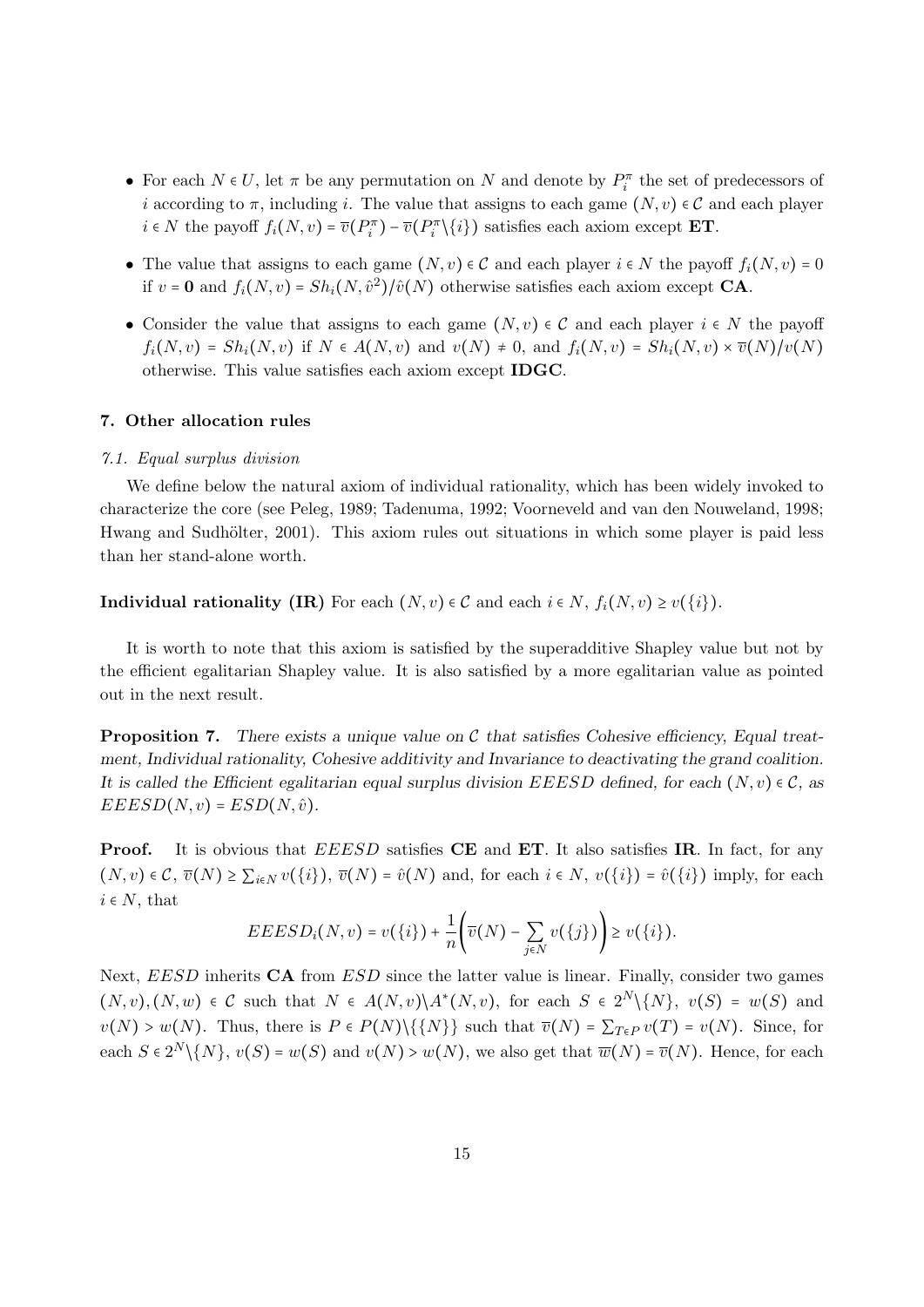- For each  $N \in U$ , let  $\pi$  be any permutation on N and denote by  $P_i^{\pi}$  the set of predecessors of i according to  $\pi$ , including i. The value that assigns to each game  $(N, v) \in \mathcal{C}$  and each player  $i \in N$  the payoff  $f_i(N, v) = \overline{v}(P_i^{\pi}) - \overline{v}(P_i^{\pi} \setminus \{i\})$  satisfies each axiom except **ET**.
- The value that assigns to each game  $(N, v) \in \mathcal{C}$  and each player  $i \in N$  the payoff  $f_i(N, v) = 0$ if  $v = \mathbf{0}$  and  $f_i(N, v) = Sh_i(N, \hat{v}^2)/\hat{v}(N)$  otherwise satisfies each axiom except **CA**.
- Consider the value that assigns to each game  $(N, v) \in \mathcal{C}$  and each player  $i \in N$  the payoff  $f_i(N, v) = Sh_i(N, v)$  if  $N \in A(N, v)$  and  $v(N) \neq 0$ , and  $f_i(N, v) = Sh_i(N, v) \times \overline{v}(N)/v(N)$ otherwise. This value satisfies each axiom except IDGC.

#### 7. Other allocation rules

#### 7.1. Equal surplus division

We define below the natural axiom of individual rationality, which has been widely invoked to characterize the core (see Peleg, 1989; Tadenuma, 1992; Voorneveld and van den Nouweland, 1998; Hwang and Sudhölter, 2001). This axiom rules out situations in which some player is paid less than her stand-alone worth.

**Individual rationality (IR)** For each  $(N, v) \in \mathcal{C}$  and each  $i \in N$ ,  $f_i(N, v) \geq v(\{i\})$ .

It is worth to note that this axiom is satisfied by the superadditive Shapley value but not by the efficient egalitarian Shapley value. It is also satisfied by a more egalitarian value as pointed out in the next result.

**Proposition 7.** There exists a unique value on C that satisfies Cohesive efficiency, Equal treatment, Individual rationality, Cohesive additivity and Invariance to deactivating the grand coalition. It is called the Efficient egalitarian equal surplus division EEESD defined, for each  $(N, v) \in \mathcal{C}$ , as  $EEESD(N, v) = ESD(N, \hat{v}).$ 

**Proof.** It is obvious that EEESD satisfies CE and ET. It also satisfies IR. In fact, for any  $(N, v) \in \mathcal{C}, \overline{v}(N) \geq \sum_{i \in N} v(\{i\}), \overline{v}(N) = \hat{v}(N)$  and, for each  $i \in N, v(\{i\}) = \hat{v}(\{i\})$  imply, for each  $i \in N$ , that

$$
EEESD_i(N, v) = v({i}) + \frac{1}{n} \left(\overline{v}(N) - \sum_{j \in N} v({j})\right) \geq v({i}).
$$

Next, EESD inherits CA from ESD since the latter value is linear. Finally, consider two games  $(N, v), (N, w) \in \mathcal{C}$  such that  $N \in A(N, v) \setminus A^*(N, v)$ , for each  $S \in 2^N \setminus \{N\}, v(S) = w(S)$  and  $v(N) > w(N)$ . Thus, there is  $P \in P(N) \setminus \{\{N\}\}\$  such that  $\overline{v}(N) = \sum_{T \in P} v(T) = v(N)$ . Since, for each  $S \in 2^N \setminus \{N\}$ ,  $v(S) = w(S)$  and  $v(N) > w(N)$ , we also get that  $\overline{w}(N) = \overline{v}(N)$ . Hence, for each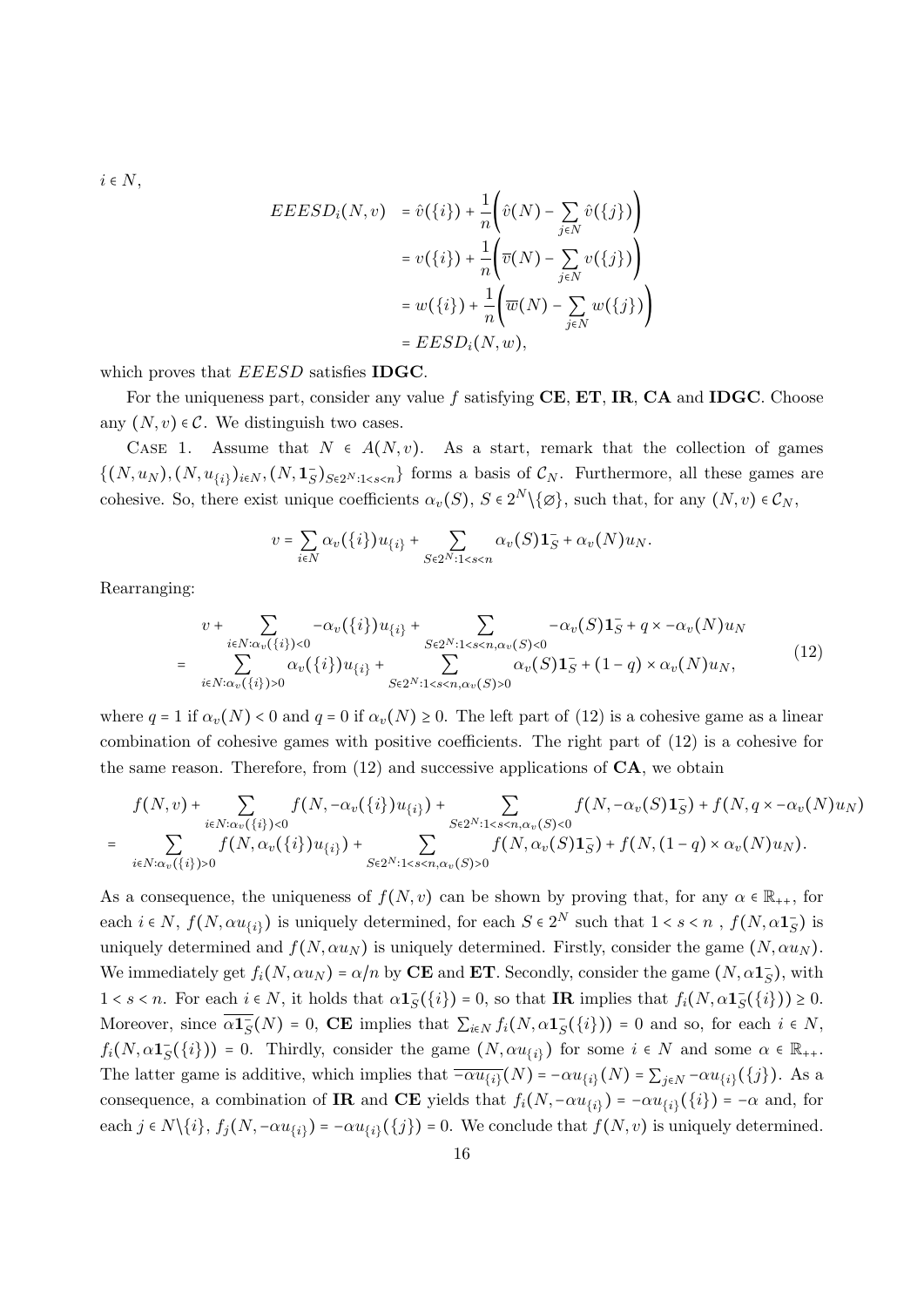$i \in N$ ,

$$
EEESD_i(N, v) = \hat{v}(\{i\}) + \frac{1}{n} \left( \hat{v}(N) - \sum_{j \in N} \hat{v}(\{j\}) \right)
$$
  

$$
= v(\{i\}) + \frac{1}{n} \left( \overline{v}(N) - \sum_{j \in N} v(\{j\}) \right)
$$
  

$$
= w(\{i\}) + \frac{1}{n} \left( \overline{w}(N) - \sum_{j \in N} w(\{j\}) \right)
$$
  

$$
= EESD_i(N, w),
$$

which proves that EEESD satisfies **IDGC**.

For the uniqueness part, consider any value  $f$  satisfying  $CE$ ,  $ET$ ,  $IR$ ,  $CA$  and  $IDGC$ . Choose any  $(N, v) \in \mathcal{C}$ . We distinguish two cases.

CASE 1. Assume that  $N \in A(N, v)$ . As a start, remark that the collection of games  $\{(N, u_N), (N, u_{\{i\}})_{i \in N}, (N, \mathbf{1}_S)_{S \in 2^N : 1 \leq s \leq n}\}$  forms a basis of  $\mathcal{C}_N$ . Furthermore, all these games are cohesive. So, there exist unique coefficients  $\alpha_v(S)$ ,  $S \in 2^N \setminus \{ \emptyset \}$ , such that, for any  $(N, v) \in C_N$ ,

$$
v = \sum_{i \in N} \alpha_v(\{i\}) u_{\{i\}} + \sum_{S \in 2^N : 1 < s < n} \alpha_v(S) \mathbf{1}_S^- + \alpha_v(N) u_N.
$$

Rearranging:

$$
v + \sum_{i \in N : \alpha_v(\{i\}) < 0} -\alpha_v(\{i\}) u_{\{i\}} + \sum_{S \in 2^N : 1 < s < n, \alpha_v(S) < 0} -\alpha_v(S) \mathbf{1}_S^- + q \times -\alpha_v(N) u_N
$$
\n
$$
= \sum_{i \in N : \alpha_v(\{i\}) > 0} \alpha_v(\{i\}) u_{\{i\}} + \sum_{S \in 2^N : 1 < s < n, \alpha_v(S) > 0} -\alpha_v(S) \mathbf{1}_S^- + (1 - q) \times \alpha_v(N) u_N,\tag{12}
$$

where  $q = 1$  if  $\alpha_v(N) < 0$  and  $q = 0$  if  $\alpha_v(N) \geq 0$ . The left part of (12) is a cohesive game as a linear combination of cohesive games with positive coefficients. The right part of (12) is a cohesive for the same reason. Therefore, from  $(12)$  and successive applications of  $CA$ , we obtain

$$
f(N, v) + \sum_{i \in N: \alpha_v(\{i\}) < 0} f(N, -\alpha_v(\{i\})u_{\{i\}}) + \sum_{S \in 2^N: 1 < s < n, \alpha_v(S) < 0} f(N, -\alpha_v(S)\mathbf{1}_S^-) + f(N, q \times -\alpha_v(N)u_N)
$$
\n
$$
= \sum_{i \in N: \alpha_v(\{i\}) > 0} f(N, \alpha_v(\{i\})u_{\{i\}}) + \sum_{S \in 2^N: 1 < s < n, \alpha_v(S) < 0} f(N, \alpha_v(S)\mathbf{1}_S^-) + f(N, (1 - q) \times \alpha_v(N)u_N).
$$

As a consequence, the uniqueness of  $f(N, v)$  can be shown by proving that, for any  $\alpha \in \mathbb{R}_{++}$ , for each  $i \in N$ ,  $f(N, \alpha u_{\{i\}})$  is uniquely determined, for each  $S \in 2^N$  such that  $1 < s < n$ ,  $f(N, \alpha \mathbf{1}_S^-)$  is uniquely determined and  $f(N, \alpha u_N)$  is uniquely determined. Firstly, consider the game  $(N, \alpha u_N)$ . We immediately get  $f_i(N, \alpha u_N) = \alpha/n$  by **CE** and **ET**. Secondly, consider the game  $(N, \alpha \mathbf{1}_S^-)$ , with  $1 < s < n$ . For each  $i \in N$ , it holds that  $\alpha \mathbf{1}_S^-(\{i\}) = 0$ , so that **IR** implies that  $f_i(N, \alpha \mathbf{1}_S^-(\{i\})) \ge 0$ . Moreover, since  $\overline{\alpha \mathbf{1}_{S}}(N) = 0$ , **CE** implies that  $\sum_{i \in N} f_i(N, \alpha \mathbf{1}_{S}^{-}(\{i\})) = 0$  and so, for each  $i \in N$ ,  $f_i(N, \alpha \mathbf{1}_{S}^{-}(\{i\})) = 0$ . Thirdly, consider the game  $(N, \alpha u_{\{i\}})$  for some  $i \in N$  and some  $\alpha \in \mathbb{R}_{++}$ . The latter game is additive, which implies that  $\overline{-\alpha u_{\{i\}}}(N) = -\alpha u_{\{i\}}(N) = \sum_{j \in N} -\alpha u_{\{i\}}(\{j\})$ . As a consequence, a combination of **IR** and **CE** yields that  $f_i(N, -\alpha u_{\{i\}}) = -\alpha u_{\{i\}}(\{i\}) = -\alpha$  and, for each  $j \in N\setminus\{i\}$ ,  $f_j(N, -\alpha u_{\{i\}}) = -\alpha u_{\{i\}}(\{j\}) = 0$ . We conclude that  $f(N, v)$  is uniquely determined.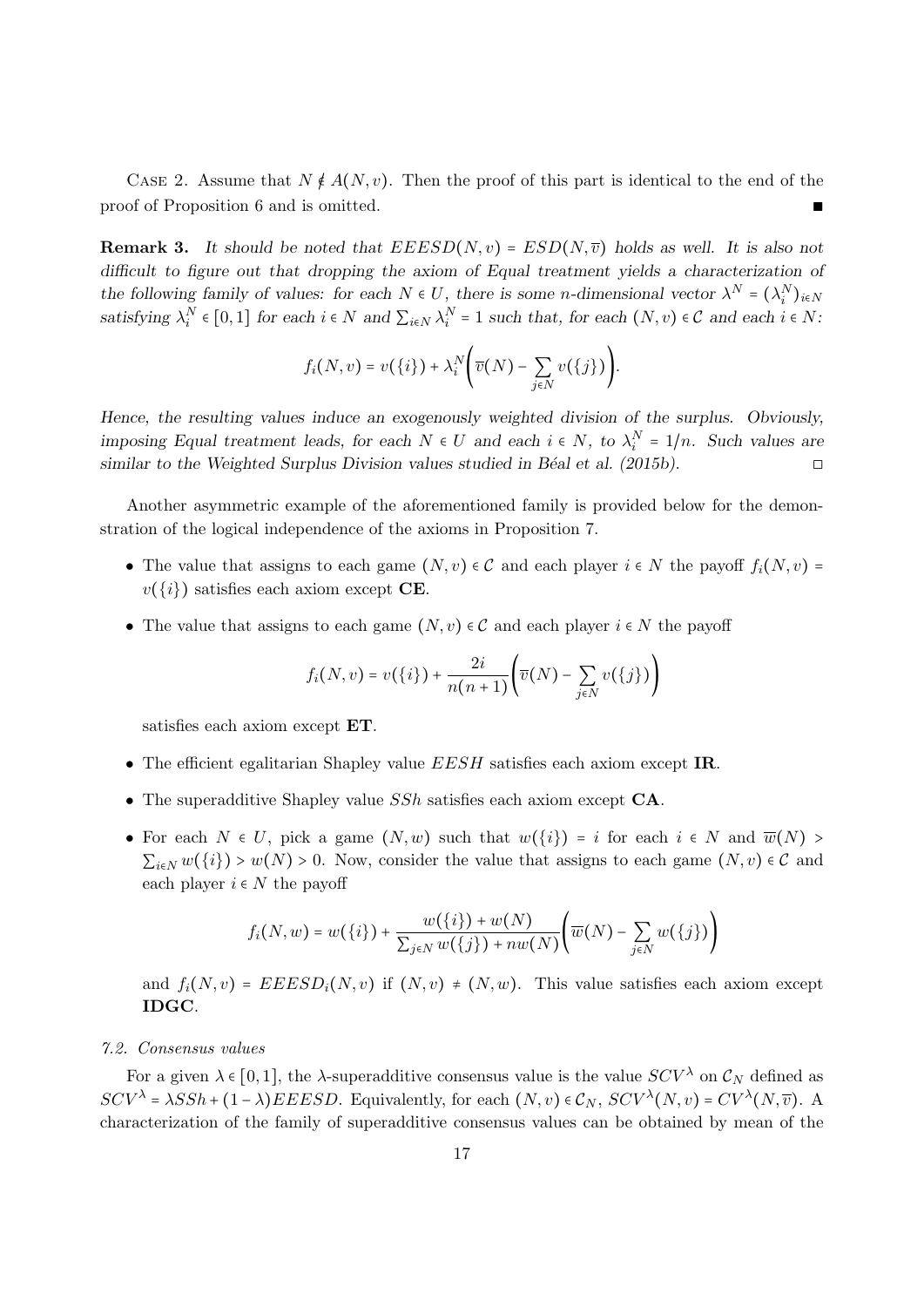CASE 2. Assume that  $N \notin A(N, v)$ . Then the proof of this part is identical to the end of the of of Proposition 6 and is omitted. proof of Proposition 6 and is omitted.

**Remark 3.** It should be noted that  $EEESD(N, v) = ESD(N, \overline{v})$  holds as well. It is also not difficult to figure out that dropping the axiom of Equal treatment yields a characterization of the following family of values: for each  $N \in U$ , there is some n-dimensional vector  $\lambda^N = (\lambda_i^N)_{i \in N}$ satisfying  $\lambda_i^N \in [0,1]$  for each  $i \in N$  and  $\sum_{i \in N} \lambda_i^N = 1$  such that, for each  $(N, v) \in C$  and each  $i \in N$ :

$$
f_i(N,v) = v(\lbrace i \rbrace) + \lambda_i^N \bigg( \overline{v}(N) - \sum_{j \in N} v(\lbrace j \rbrace) \bigg).
$$

Hence, the resulting values induce an exogenously weighted division of the surplus. Obviously, imposing Equal treatment leads, for each  $N \in U$  and each  $i \in N$ , to  $\lambda_i^N = 1/n$ . Such values are similar to the Weighted Surplus Division values studied in Béal et al. (2015b).  $\Box$ 

Another asymmetric example of the aforementioned family is provided below for the demonstration of the logical independence of the axioms in Proposition 7.

- The value that assigns to each game  $(N, v) \in \mathcal{C}$  and each player  $i \in N$  the payoff  $f_i(N, v) =$  $v(\{i\})$  satisfies each axiom except **CE**.
- The value that assigns to each game  $(N, v) \in \mathcal{C}$  and each player  $i \in N$  the payoff

$$
f_i(N, v) = v(\lbrace i \rbrace) + \frac{2i}{n(n+1)} \Biggl( \overline{v}(N) - \sum_{j \in N} v(\lbrace j \rbrace) \Biggr)
$$

satisfies each axiom except ET.

- The efficient egalitarian Shapley value  $EESH$  satisfies each axiom except IR.
- The superadditive Shapley value SSh satisfies each axiom except CA.
- For each  $N \in U$ , pick a game  $(N, w)$  such that  $w(\lbrace i \rbrace) = i$  for each  $i \in N$  and  $\overline{w}(N) > i$  $\sum_{i\in N} w(\{i\}) > w(N) > 0$ . Now, consider the value that assigns to each game  $(N, v) \in \mathcal{C}$  and each player  $i \in N$  the payoff

$$
f_i(N, w) = w(\lbrace i \rbrace) + \frac{w(\lbrace i \rbrace) + w(N)}{\sum_{j \in N} w(\lbrace j \rbrace) + nw(N)} \Big( \overline{w}(N) - \sum_{j \in N} w(\lbrace j \rbrace) \Big)
$$

and  $f_i(N, v) = EEESD_i(N, v)$  if  $(N, v) \neq (N, w)$ . This value satisfies each axiom except IDGC.

#### 7.2. Consensus values

For a given  $\lambda \in [0,1]$ , the  $\lambda$ -superadditive consensus value is the value  $SCV^{\lambda}$  on  $C_N$  defined as  $SCV^{\lambda} = \lambda SSh + (1 - \lambda) EEESD$ . Equivalently, for each  $(N, v) \in C_N$ ,  $SCV^{\lambda}(N, v) = CV^{\lambda}(N, \overline{v})$ . characterization of the family of superadditive consensus values can be obtained by mean of the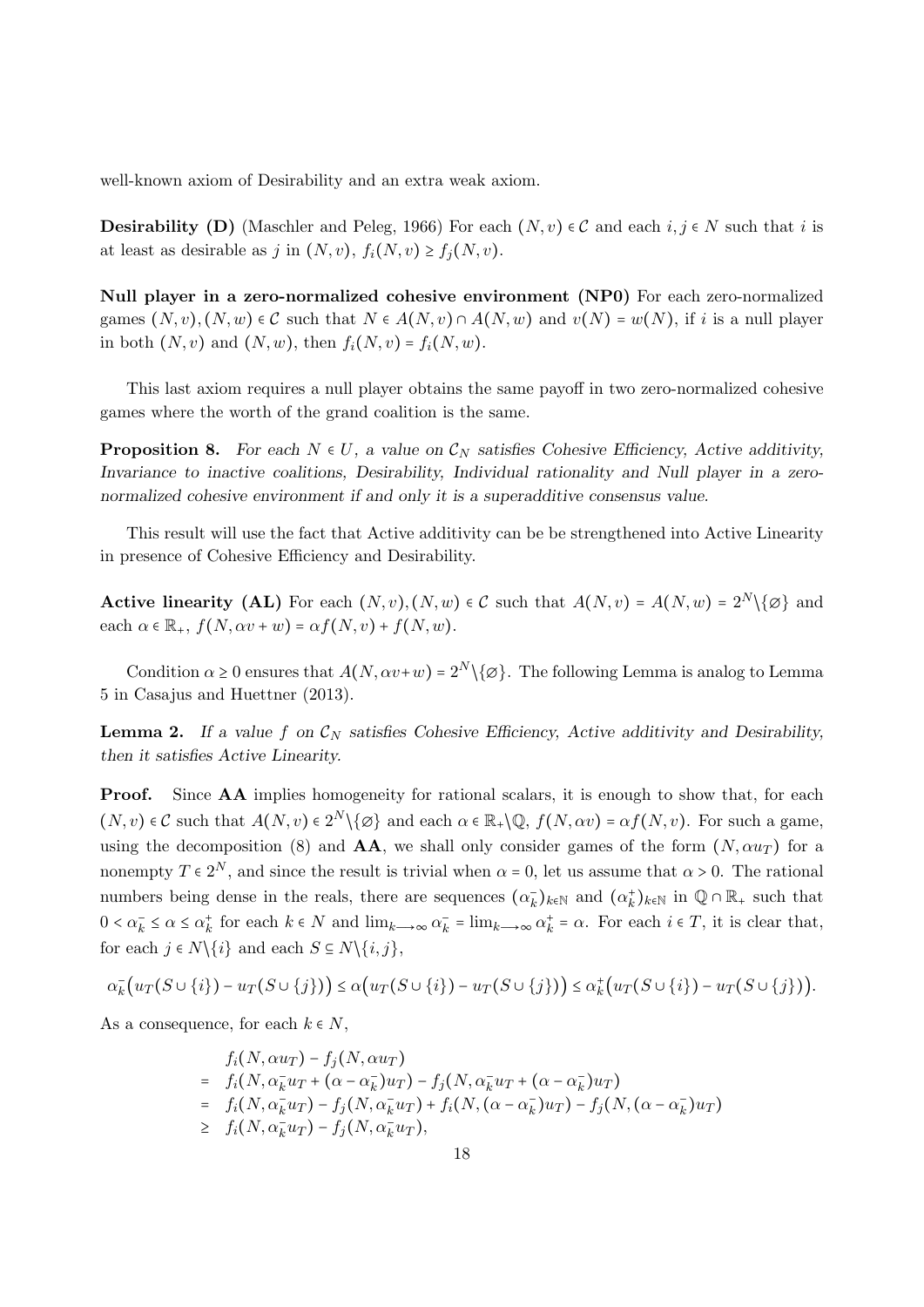well-known axiom of Desirability and an extra weak axiom.

**Desirability (D)** (Maschler and Peleg, 1966) For each  $(N, v) \in \mathcal{C}$  and each  $i, j \in N$  such that i is at least as desirable as j in  $(N, v)$ ,  $f_i(N, v) \ge f_j(N, v)$ .

Null player in a zero-normalized cohesive environment (NP0) For each zero-normalized games  $(N, v), (N, w) \in \mathcal{C}$  such that  $N \in A(N, v) \cap A(N, w)$  and  $v(N) = w(N)$ , if i is a null player in both  $(N, v)$  and  $(N, w)$ , then  $f_i(N, v) = f_i(N, w)$ .

This last axiom requires a null player obtains the same payoff in two zero-normalized cohesive games where the worth of the grand coalition is the same.

**Proposition 8.** For each  $N \in U$ , a value on  $\mathcal{C}_N$  satisfies Cohesive Efficiency, Active additivity, Invariance to inactive coalitions, Desirability, Individual rationality and Null player in a zeronormalized cohesive environment if and only it is a superadditive consensus value.

This result will use the fact that Active additivity can be be strengthened into Active Linearity in presence of Cohesive Efficiency and Desirability.

**Active linearity (AL)** For each  $(N, v), (N, w) \in \mathcal{C}$  such that  $A(N, v) = A(N, w) = 2^N \setminus \{\emptyset\}$  and each  $\alpha \in \mathbb{R}_+$ ,  $f(N, \alpha v + w) = \alpha f(N, v) + f(N, w)$ .

Condition  $\alpha \ge 0$  ensures that  $A(N, \alpha v+w) = 2^N \setminus \{\varnothing\}$ . The following Lemma is analog to Lemma 5 in Casajus and Huettner (2013).

**Lemma 2.** If a value f on  $\mathcal{C}_N$  satisfies Cohesive Efficiency, Active additivity and Desirability, then it satisfies Active Linearity.

Proof. Since AA implies homogeneity for rational scalars, it is enough to show that, for each  $(N, v) \in \mathcal{C}$  such that  $A(N, v) \in 2^N \setminus \{ \varnothing \}$  and each  $\alpha \in \mathbb{R}_+ \setminus \mathbb{Q}$ ,  $f(N, \alpha v) = \alpha f(N, v)$ . For such a game, using the decomposition (8) and  $AA$ , we shall only consider games of the form  $(N, \alpha u_T)$  for a nonempty  $T \in 2^N$ , and since the result is trivial when  $\alpha = 0$ , let us assume that  $\alpha > 0$ . The rational numbers being dense in the reals, there are sequences  $(\alpha_k^-)_{k\in\mathbb{N}}$  and  $(\alpha_k^+)_{k\in\mathbb{N}}$  in  $\mathbb{Q}\cap\mathbb{R}_+$  such that  $0 < \alpha_k^- \le \alpha \le \alpha_k^+$  for each  $k \in N$  and  $\lim_{k \to \infty} \alpha_k^- = \lim_{k \to \infty} \alpha_k^+ = \alpha$ . For each  $i \in T$ , it is clear that, for each  $j \in N \setminus \{i\}$  and each  $S \subseteq N \setminus \{i, j\}$ ,

$$
\alpha_k^- \big( u_T(S \cup \{i\}) - u_T(S \cup \{j\}) \big) \leq \alpha \big( u_T(S \cup \{i\}) - u_T(S \cup \{j\}) \big) \leq \alpha_k^+ \big( u_T(S \cup \{i\}) - u_T(S \cup \{j\}) \big).
$$

As a consequence, for each  $k \in N$ ,

$$
f_i(N, \alpha u_T) - f_j(N, \alpha u_T)
$$
  
= 
$$
f_i(N, \alpha_k^- u_T + (\alpha - \alpha_k^-)u_T) - f_j(N, \alpha_k^- u_T + (\alpha - \alpha_k^-)u_T)
$$
  
= 
$$
f_i(N, \alpha_k^- u_T) - f_j(N, \alpha_k^- u_T) + f_i(N, (\alpha - \alpha_k^-)u_T) - f_j(N, (\alpha - \alpha_k^-)u_T)
$$
  

$$
\geq f_i(N, \alpha_k^- u_T) - f_j(N, \alpha_k^- u_T),
$$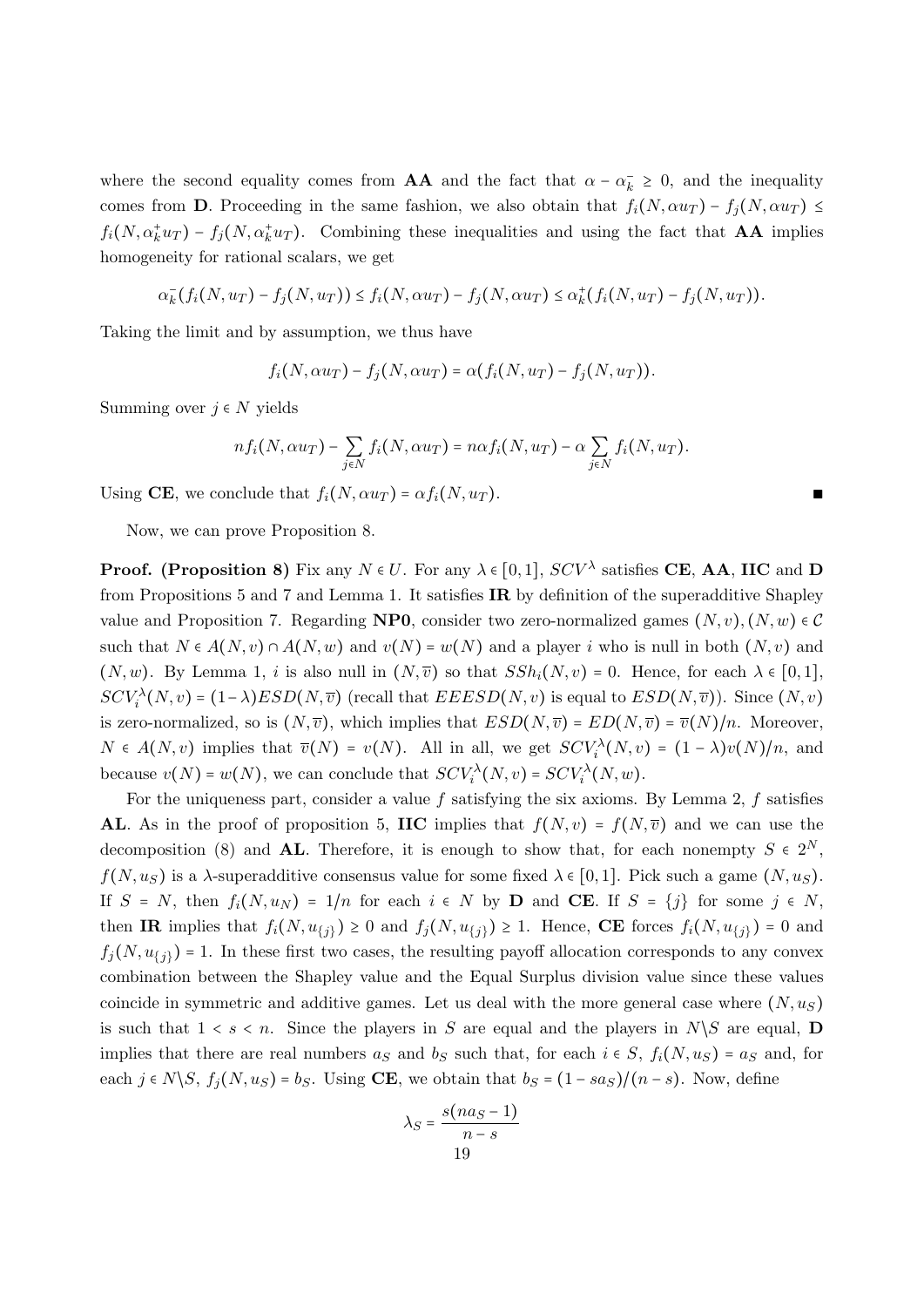where the second equality comes from **AA** and the fact that  $\alpha - \alpha_k^+ \geq 0$ , and the inequality comes from **D**. Proceeding in the same fashion, we also obtain that  $f_i(N, \alpha u_T) - f_j(N, \alpha u_T) \leq$  $f_i(N, \alpha_k^+ u_T) - f_j(N, \alpha_k^+ u_T)$ . Combining these inequalities and using the fact that **AA** implies homogeneity for rational scalars, we get

$$
\alpha_k^- (f_i(N, u_T) - f_j(N, u_T)) \le f_i(N, \alpha u_T) - f_j(N, \alpha u_T) \le \alpha_k^+ (f_i(N, u_T) - f_j(N, u_T)).
$$

Taking the limit and by assumption, we thus have

$$
f_i(N, \alpha u_T) - f_j(N, \alpha u_T) = \alpha(f_i(N, u_T) - f_j(N, u_T)).
$$

Summing over  $j \in N$  yields

$$
nf_i(N, \alpha u_T) - \sum_{j \in N} f_i(N, \alpha u_T) = n \alpha f_i(N, u_T) - \alpha \sum_{j \in N} f_i(N, u_T).
$$

Using CE, we conclude that  $f_i(N, \alpha u_T) = \alpha f_i(N, u_T)$ .

Now, we can prove Proposition 8.

**Proof.** (Proposition 8) Fix any  $N \in U$ . For any  $\lambda \in [0,1]$ ,  $SCV^{\lambda}$  satisfies CE, AA, IIC and D from Propositions 5 and 7 and Lemma 1. It satisfies IR by definition of the superadditive Shapley value and Proposition 7. Regarding **NP0**, consider two zero-normalized games  $(N, v), (N, w) \in \mathcal{C}$ such that  $N \in A(N, v) \cap A(N, w)$  and  $v(N) = w(N)$  and a player i who is null in both  $(N, v)$  and  $(N, w)$ . By Lemma 1, i is also null in  $(N, \overline{v})$  so that  $SSh_i(N, v) = 0$ . Hence, for each  $\lambda \in [0, 1]$ ,  $SCV_i^{\lambda}(N, v) = (1 - \lambda)ESD(N, \overline{v})$  (recall that  $EEESD(N, v)$  is equal to  $ESD(N, \overline{v})$ ). Since  $(N, v)$ is zero-normalized, so is  $(N, \overline{v})$ , which implies that  $ESD(N, \overline{v}) = ED(N, \overline{v}) = \overline{v}(N)/n$ . Moreover,  $N \in A(N, v)$  implies that  $\overline{v}(N) = v(N)$ . All in all, we get  $SCV_i^{\lambda}(N, v) = (1 - \lambda)v(N)/n$ , and because  $v(N) = w(N)$ , we can conclude that  $SCV_i^{\lambda}(N, v) = SCV_i^{\lambda}(N, w)$ .

For the uniqueness part, consider a value f satisfying the six axioms. By Lemma 2, f satisfies AL. As in the proof of proposition 5, IIC implies that  $f(N, v) = f(N, \overline{v})$  and we can use the decomposition (8) and **AL**. Therefore, it is enough to show that, for each nonempty  $S \in 2^N$ ,  $f(N, u_S)$  is a  $\lambda$ -superadditive consensus value for some fixed  $\lambda \in [0, 1]$ . Pick such a game  $(N, u_S)$ . If  $S = N$ , then  $f_i(N, u_N) = 1/n$  for each  $i \in N$  by **D** and **CE**. If  $S = \{j\}$  for some  $j \in N$ , then IR implies that  $f_i(N, u_{\{j\}}) \geq 0$  and  $f_j(N, u_{\{j\}}) \geq 1$ . Hence, CE forces  $f_i(N, u_{\{j\}}) = 0$  and  $f_j(N, u_{\{j\}}) = 1$ . In these first two cases, the resulting payoff allocation corresponds to any convex combination between the Shapley value and the Equal Surplus division value since these values coincide in symmetric and additive games. Let us deal with the more general case where  $(N, u<sub>S</sub>)$ is such that  $1 \leq s \leq n$ . Since the players in S are equal and the players in  $N\backslash S$  are equal, **D** implies that there are real numbers  $a_S$  and  $b_S$  such that, for each  $i \in S$ ,  $f_i(N, u_S) = a_S$  and, for each  $j \in N \setminus S$ ,  $f_j(N, u_S) = b_S$ . Using **CE**, we obtain that  $b_S = (1 - sa_S)/(n - s)$ . Now, define

$$
\lambda_S = \frac{s(na_S - 1)}{n - s}
$$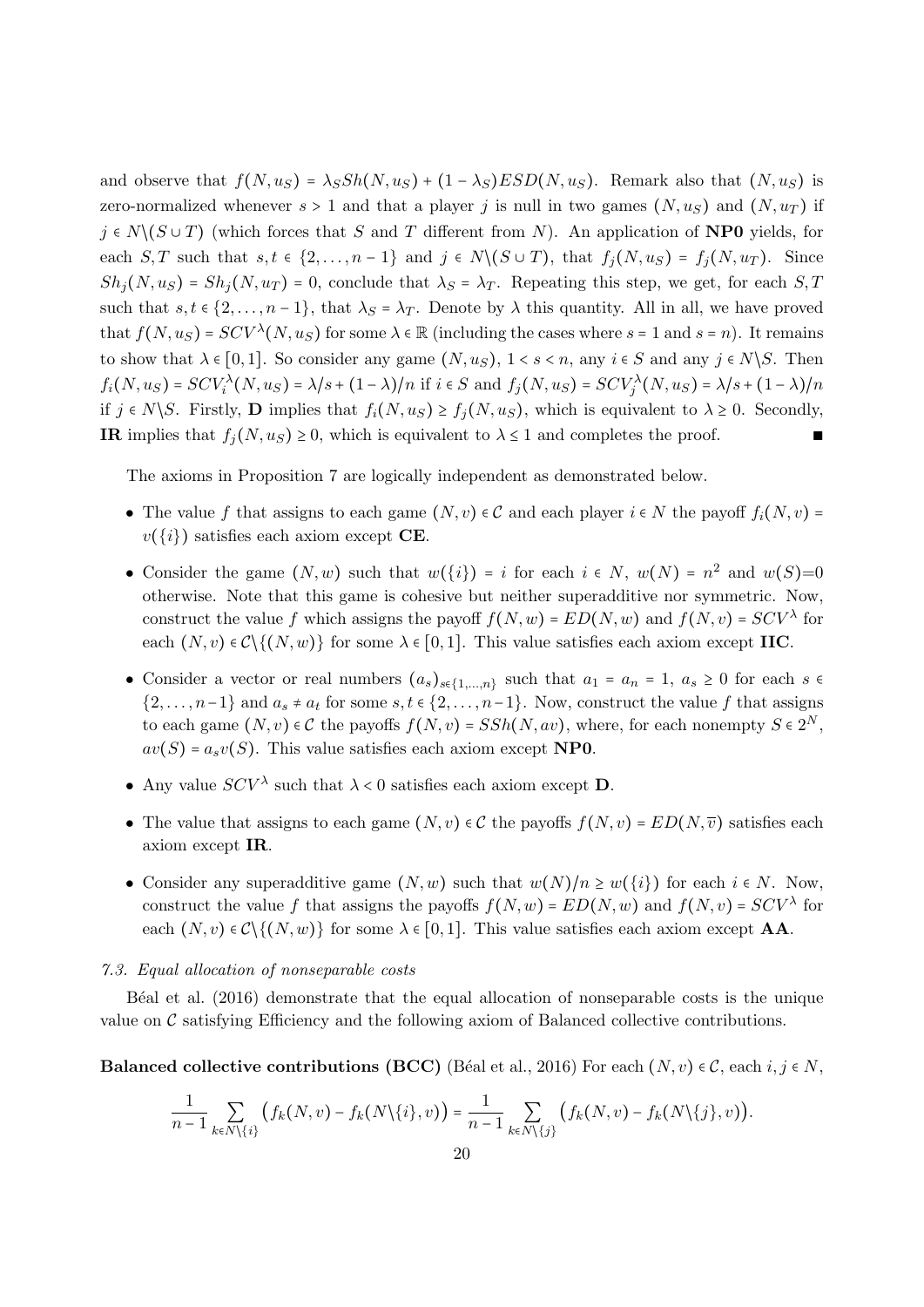and observe that  $f(N, u_S) = \lambda_S Sh(N, u_S) + (1 - \lambda_S) ESD(N, u_S)$ . Remark also that  $(N, u_S)$  is zero-normalized whenever  $s > 1$  and that a player j is null in two games  $(N, u<sub>S</sub>)$  and  $(N, u<sub>T</sub>)$  if  $j \in N \setminus (S \cup T)$  (which forces that S and T different from N). An application of **NP0** yields, for each  $S, T$  such that  $s, t \in \{2, ..., n-1\}$  and  $j \in N \setminus (S \cup T)$ , that  $f_j(N, u_S) = f_j(N, u_T)$ . Since  $Sh<sub>j</sub>(N, u<sub>S</sub>) = Sh<sub>j</sub>(N, u<sub>T</sub>) = 0$ , conclude that  $\lambda_S = \lambda_T$ . Repeating this step, we get, for each S, T such that  $s, t \in \{2, ..., n-1\}$ , that  $\lambda_s = \lambda_T$ . Denote by  $\lambda$  this quantity. All in all, we have proved that  $f(N, u_S) = SCV^{\lambda}(N, u_S)$  for some  $\lambda \in \mathbb{R}$  (including the cases where  $s = 1$  and  $s = n$ ). It remains to show that  $\lambda \in [0,1]$ . So consider any game  $(N, u<sub>S</sub>), 1 < s < n$ , any  $i \in S$  and any  $j \in N \setminus S$ . Then  $f_i(N, u_S) = SCV_i^{\lambda}(N, u_S) = \lambda/s + (1 - \lambda)/n$  if  $i \in S$  and  $f_j(N, u_S) = SCV_j^{\lambda}(N, u_S) = \lambda/s + (1 - \lambda)/n$ if  $j \in N \backslash S$ . Firstly, D implies that  $f_i(N, u_S) \ge f_j(N, u_S)$ , which is equivalent to  $\lambda \ge 0$ . Secondly, IR implies that  $f_i(N, u<sub>S</sub>) \ge 0$ , which is equivalent to  $\lambda \le 1$  and completes the proof.

The axioms in Proposition 7 are logically independent as demonstrated below.

- The value f that assigns to each game  $(N, v) \in \mathcal{C}$  and each player  $i \in N$  the payoff  $f_i(N, v) =$  $v(\{i\})$  satisfies each axiom except **CE**.
- Consider the game  $(N, w)$  such that  $w({i}) = i$  for each  $i \in N$ ,  $w(N) = n^2$  and  $w(S) = 0$ otherwise. Note that this game is cohesive but neither superadditive nor symmetric. Now, construct the value f which assigns the payoff  $f(N, w) = ED(N, w)$  and  $f(N, v) = SCV^{\lambda}$  for each  $(N, v) \in \mathcal{C} \setminus \{(N, w)\}\$ for some  $\lambda \in [0, 1]$ . This value satisfies each axiom except IIC.
- Consider a vector or real numbers  $(a_s)_{s \in \{1,\dots,n\}}$  such that  $a_1 = a_n = 1$ ,  $a_s \ge 0$  for each  $s \in \{2,\dots,n\}$  $\{2,\ldots,n-1\}$  and  $a_s \neq a_t$  for some  $s,t \in \{2,\ldots,n-1\}$ . Now, construct the value f that assigns to each game  $(N, v) \in \mathcal{C}$  the payoffs  $f(N, v) = SSh(N, av)$ , where, for each nonempty  $S \in 2^N$ ,  $av(S) = a_s v(S)$ . This value satisfies each axiom except **NP0**.
- Any value  $SCV^{\lambda}$  such that  $\lambda < 0$  satisfies each axiom except **D**.
- The value that assigns to each game  $(N, v) \in \mathcal{C}$  the payoffs  $f(N, v) = ED(N, \overline{v})$  satisfies each axiom except IR.
- Consider any superadditive game  $(N, w)$  such that  $w(N)/n \geq w(\{i\})$  for each  $i \in N$ . Now, construct the value f that assigns the payoffs  $f(N, w) = ED(N, w)$  and  $f(N, v) = SCV^{\lambda}$  for each  $(N, v) \in \mathcal{C} \setminus \{(N, w)\}\$  for some  $\lambda \in [0, 1]$ . This value satisfies each axiom except **AA**.

#### 7.3. Equal allocation of nonseparable costs

B<sup> $\acute{e}$ al et al. (2016) demonstrate that the equal allocation of nonseparable costs is the unique</sup> value on  $\mathcal C$  satisfying Efficiency and the following axiom of Balanced collective contributions.

**Balanced collective contributions (BCC)** (Béal et al., 2016) For each  $(N, v) \in \mathcal{C}$ , each  $i, j \in N$ ,

$$
\frac{1}{n-1}\sum_{k\in N\setminus\{i\}}\big(f_k(N,v)-f_k(N\setminus\{i\},v)\big)=\frac{1}{n-1}\sum_{k\in N\setminus\{j\}}\big(f_k(N,v)-f_k(N\setminus\{j\},v)\big).
$$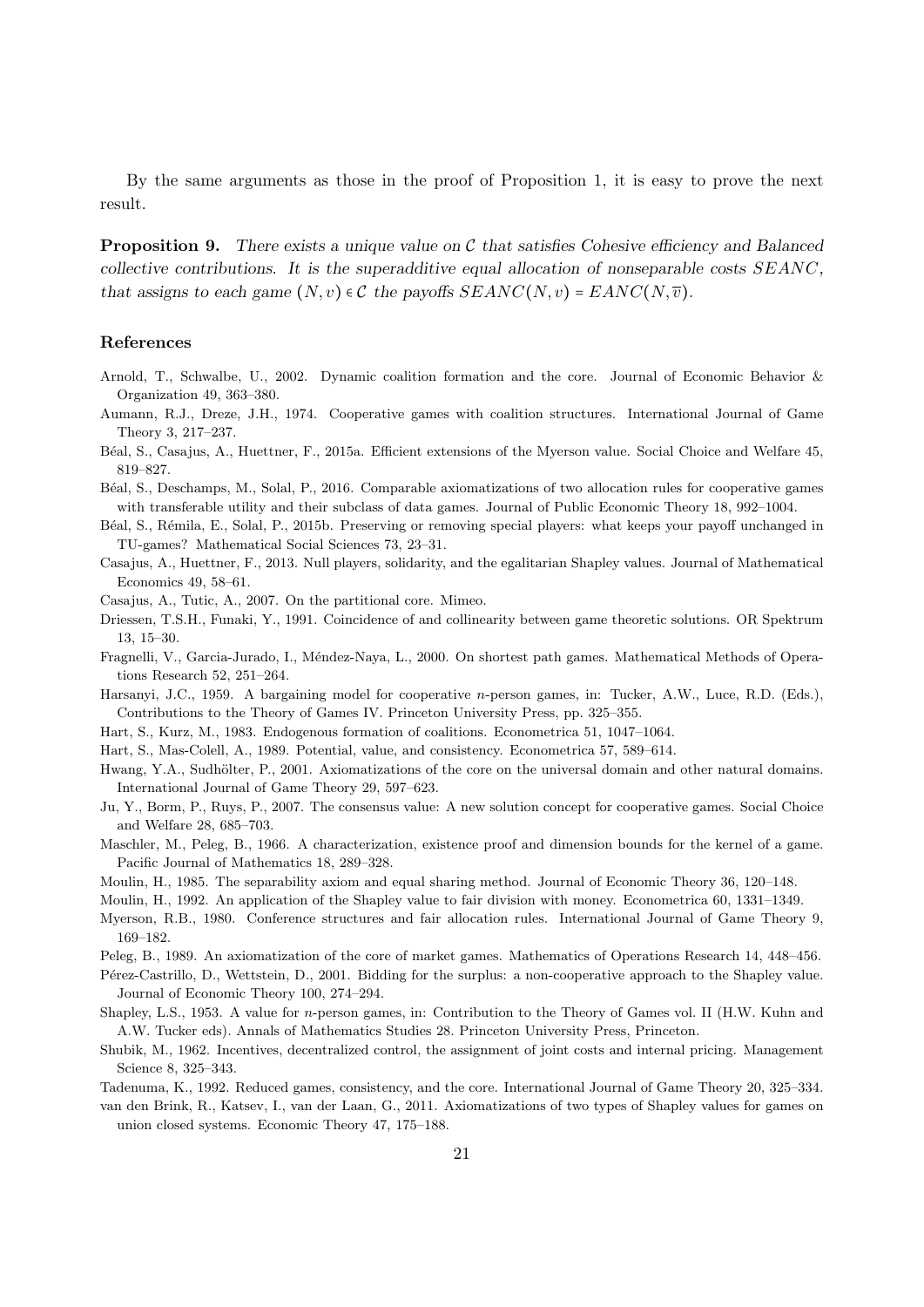By the same arguments as those in the proof of Proposition 1, it is easy to prove the next result.

**Proposition 9.** There exists a unique value on  $\mathcal C$  that satisfies Cohesive efficiency and Balanced collective contributions. It is the superadditive equal allocation of nonseparable costs  $SEANC$ , that assigns to each game  $(N, v) \in \mathcal{C}$  the payoffs  $SEANC(N, v) = EANC(N, \overline{v}).$ 

#### References

- Arnold, T., Schwalbe, U., 2002. Dynamic coalition formation and the core. Journal of Economic Behavior & Organization 49, 363–380.
- Aumann, R.J., Dreze, J.H., 1974. Cooperative games with coalition structures. International Journal of Game Theory 3, 217–237.
- B´eal, S., Casajus, A., Huettner, F., 2015a. Efficient extensions of the Myerson value. Social Choice and Welfare 45, 819–827.
- B´eal, S., Deschamps, M., Solal, P., 2016. Comparable axiomatizations of two allocation rules for cooperative games with transferable utility and their subclass of data games. Journal of Public Economic Theory 18, 992–1004.
- Béal, S., Rémila, E., Solal, P., 2015b. Preserving or removing special players: what keeps your payoff unchanged in TU-games? Mathematical Social Sciences 73, 23–31.
- Casajus, A., Huettner, F., 2013. Null players, solidarity, and the egalitarian Shapley values. Journal of Mathematical Economics 49, 58–61.
- Casajus, A., Tutic, A., 2007. On the partitional core. Mimeo.
- Driessen, T.S.H., Funaki, Y., 1991. Coincidence of and collinearity between game theoretic solutions. OR Spektrum 13, 15–30.
- Fragnelli, V., Garcia-Jurado, I., Méndez-Naya, L., 2000. On shortest path games. Mathematical Methods of Operations Research 52, 251–264.
- Harsanyi, J.C., 1959. A bargaining model for cooperative n-person games, in: Tucker, A.W., Luce, R.D. (Eds.), Contributions to the Theory of Games IV. Princeton University Press, pp. 325–355.
- Hart, S., Kurz, M., 1983. Endogenous formation of coalitions. Econometrica 51, 1047–1064.
- Hart, S., Mas-Colell, A., 1989. Potential, value, and consistency. Econometrica 57, 589–614.
- Hwang, Y.A., Sudhölter, P., 2001. Axiomatizations of the core on the universal domain and other natural domains. International Journal of Game Theory 29, 597–623.
- Ju, Y., Borm, P., Ruys, P., 2007. The consensus value: A new solution concept for cooperative games. Social Choice and Welfare 28, 685–703.
- Maschler, M., Peleg, B., 1966. A characterization, existence proof and dimension bounds for the kernel of a game. Pacific Journal of Mathematics 18, 289–328.
- Moulin, H., 1985. The separability axiom and equal sharing method. Journal of Economic Theory 36, 120–148.
- Moulin, H., 1992. An application of the Shapley value to fair division with money. Econometrica 60, 1331–1349.
- Myerson, R.B., 1980. Conference structures and fair allocation rules. International Journal of Game Theory 9, 169–182.
- Peleg, B., 1989. An axiomatization of the core of market games. Mathematics of Operations Research 14, 448–456.
- Pérez-Castrillo, D., Wettstein, D., 2001. Bidding for the surplus: a non-cooperative approach to the Shapley value. Journal of Economic Theory 100, 274–294.
- Shapley, L.S., 1953. A value for n-person games, in: Contribution to the Theory of Games vol. II (H.W. Kuhn and A.W. Tucker eds). Annals of Mathematics Studies 28. Princeton University Press, Princeton.
- Shubik, M., 1962. Incentives, decentralized control, the assignment of joint costs and internal pricing. Management Science 8, 325–343.
- Tadenuma, K., 1992. Reduced games, consistency, and the core. International Journal of Game Theory 20, 325–334.
- van den Brink, R., Katsev, I., van der Laan, G., 2011. Axiomatizations of two types of Shapley values for games on union closed systems. Economic Theory 47, 175–188.